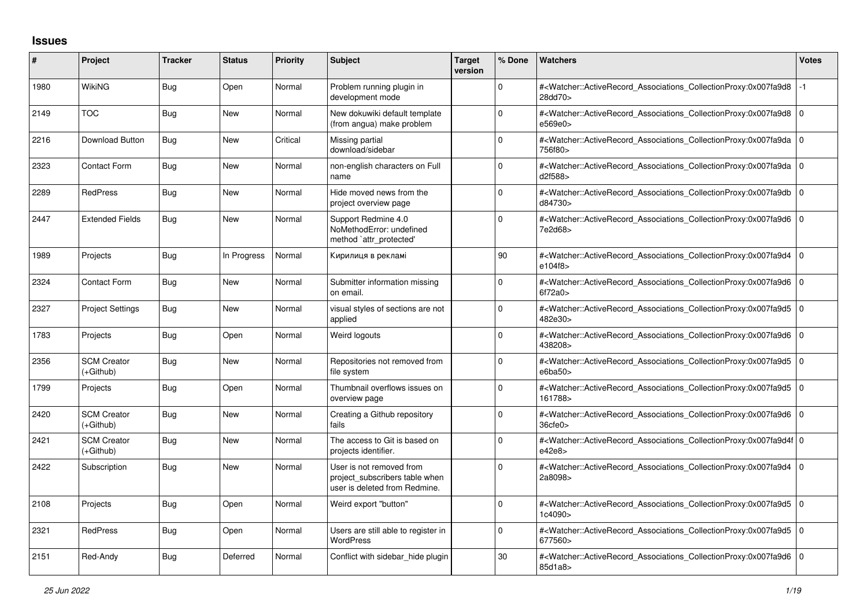## **Issues**

| ∦    | Project                         | <b>Tracker</b> | <b>Status</b> | <b>Priority</b> | <b>Subject</b>                                                                              | <b>Target</b><br>version | % Done       | <b>Watchers</b>                                                                                                                                          | <b>Votes</b> |
|------|---------------------------------|----------------|---------------|-----------------|---------------------------------------------------------------------------------------------|--------------------------|--------------|----------------------------------------------------------------------------------------------------------------------------------------------------------|--------------|
| 1980 | WikiNG                          | Bug            | Open          | Normal          | Problem running plugin in<br>development mode                                               |                          | 0            | # <watcher::activerecord_associations_collectionproxy:0x007fa9d8<br>28dd70&gt;</watcher::activerecord_associations_collectionproxy:0x007fa9d8<br>        |              |
| 2149 | <b>TOC</b>                      | Bug            | <b>New</b>    | Normal          | New dokuwiki default template<br>(from angua) make problem                                  |                          | $\Omega$     | # <watcher::activerecord 0<br="" associations="" collectionproxy:0x007fa9d8=""  ="">e569e0&gt;</watcher::activerecord>                                   |              |
| 2216 | <b>Download Button</b>          | <b>Bug</b>     | <b>New</b>    | Critical        | Missing partial<br>download/sidebar                                                         |                          | $\mathbf 0$  | # <watcher::activerecord_associations_collectionproxy:0x007fa9da 0<br=""  ="">756f80&gt;</watcher::activerecord_associations_collectionproxy:0x007fa9da> |              |
| 2323 | <b>Contact Form</b>             | <b>Bug</b>     | <b>New</b>    | Normal          | non-english characters on Full<br>name                                                      |                          | $\Omega$     | # <watcher::activerecord_associations_collectionproxy:0x007fa9da 0<br=""  ="">d2f588&gt;</watcher::activerecord_associations_collectionproxy:0x007fa9da> |              |
| 2289 | <b>RedPress</b>                 | Bug            | New           | Normal          | Hide moved news from the<br>project overview page                                           |                          | $\Omega$     | # <watcher::activerecord 0<br="" associations="" collectionproxy:0x007fa9db=""  ="">d84730&gt;</watcher::activerecord>                                   |              |
| 2447 | <b>Extended Fields</b>          | Bug            | New           | Normal          | Support Redmine 4.0<br>NoMethodError: undefined<br>method `attr_protected'                  |                          | $\Omega$     | # <watcher::activerecord_associations_collectionproxy:0x007fa9d6 0<br="">7e2d68&gt;</watcher::activerecord_associations_collectionproxy:0x007fa9d6>      |              |
| 1989 | Projects                        | Bug            | In Progress   | Normal          | Кирилиця в рекламі                                                                          |                          | 90           | # <watcher::activerecord_associations_collectionproxy:0x007fa9d4<br>e104f8&gt;</watcher::activerecord_associations_collectionproxy:0x007fa9d4<br>        | l O          |
| 2324 | Contact Form                    | Bug            | New           | Normal          | Submitter information missing<br>on email.                                                  |                          | $\Omega$     | # <watcher::activerecord_associations_collectionproxy:0x007fa9d6 0<br="">6f72a0</watcher::activerecord_associations_collectionproxy:0x007fa9d6>          |              |
| 2327 | <b>Project Settings</b>         | <b>Bug</b>     | <b>New</b>    | Normal          | visual styles of sections are not<br>applied                                                |                          | $\Omega$     | # <watcher::activerecord_associations_collectionproxy:0x007fa9d5 0<br="">482e30&gt;</watcher::activerecord_associations_collectionproxy:0x007fa9d5>      |              |
| 1783 | Projects                        | Bug            | Open          | Normal          | Weird logouts                                                                               |                          | $\mathbf 0$  | # <watcher::activerecord 0<br="" associations="" collectionproxy:0x007fa9d6=""  ="">438208&gt;</watcher::activerecord>                                   |              |
| 2356 | <b>SCM Creator</b><br>(+Github) | <b>Bug</b>     | <b>New</b>    | Normal          | Repositories not removed from<br>file system                                                |                          | $\Omega$     | # <watcher::activerecord_associations_collectionproxy:0x007fa9d5 0<br="">e6ba50&gt;</watcher::activerecord_associations_collectionproxy:0x007fa9d5>      |              |
| 1799 | Projects                        | Bug            | Open          | Normal          | Thumbnail overflows issues on<br>overview page                                              |                          | $\mathbf{0}$ | # <watcher::activerecord 0<br="" associations="" collectionproxy:0x007fa9d5=""  ="">161788&gt;</watcher::activerecord>                                   |              |
| 2420 | <b>SCM Creator</b><br>(+Github) | <b>Bug</b>     | <b>New</b>    | Normal          | Creating a Github repository<br>fails                                                       |                          | $\Omega$     | # <watcher::activerecord_associations_collectionproxy:0x007fa9d6 0<br="">36cfe0</watcher::activerecord_associations_collectionproxy:0x007fa9d6>          |              |
| 2421 | <b>SCM Creator</b><br>(+Github) | Bug            | <b>New</b>    | Normal          | The access to Git is based on<br>projects identifier.                                       |                          | $\Omega$     | # <watcher::activerecord 0<br="" associations="" collectionproxy:0x007fa9d4f=""  ="">e42e8&gt;</watcher::activerecord>                                   |              |
| 2422 | Subscription                    | Bug            | New           | Normal          | User is not removed from<br>project subscribers table when<br>user is deleted from Redmine. |                          | $\Omega$     | # <watcher::activerecord_associations_collectionproxy:0x007fa9d4 0<br=""  ="">2a8098&gt;</watcher::activerecord_associations_collectionproxy:0x007fa9d4> |              |
| 2108 | Projects                        | Bug            | Open          | Normal          | Weird export "button"                                                                       |                          | $\Omega$     | # <watcher::activerecord_associations_collectionproxy:0x007fa9d5 0<br="">1c4090&gt;</watcher::activerecord_associations_collectionproxy:0x007fa9d5>      |              |
| 2321 | RedPress                        | <b>Bug</b>     | Open          | Normal          | Users are still able to register in<br>WordPress                                            |                          | $\Omega$     | # <watcher::activerecord_associations_collectionproxy:0x007fa9d5 0<br="">677560&gt;</watcher::activerecord_associations_collectionproxy:0x007fa9d5>      |              |
| 2151 | Red-Andy                        | Bug            | Deferred      | Normal          | Conflict with sidebar hide plugin                                                           |                          | 30           | # <watcher::activerecord_associations_collectionproxy:0x007fa9d6 0<br="">85d1a8&gt;</watcher::activerecord_associations_collectionproxy:0x007fa9d6>      |              |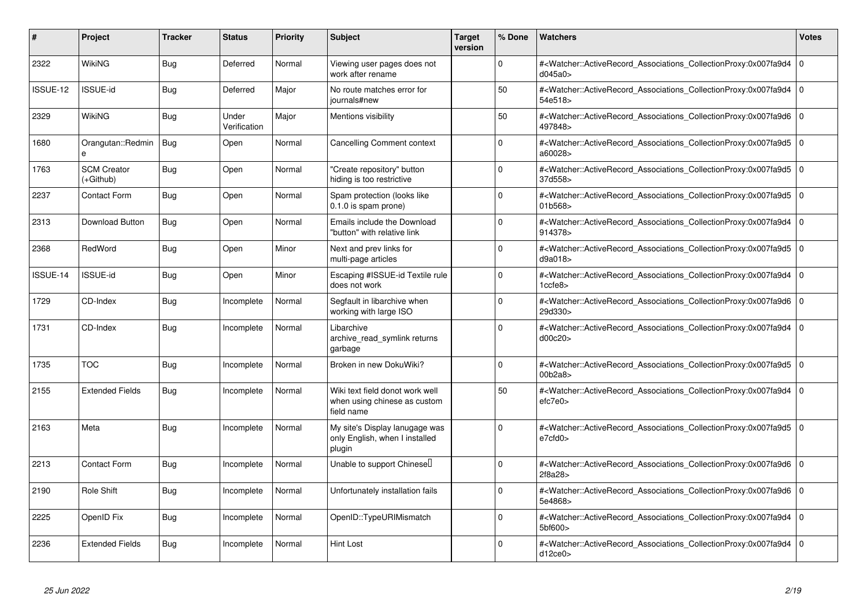| #        | Project                         | <b>Tracker</b> | <b>Status</b>         | <b>Priority</b> | <b>Subject</b>                                                                | <b>Target</b><br>version | % Done       | <b>Watchers</b>                                                                                                                                          | <b>Votes</b> |
|----------|---------------------------------|----------------|-----------------------|-----------------|-------------------------------------------------------------------------------|--------------------------|--------------|----------------------------------------------------------------------------------------------------------------------------------------------------------|--------------|
| 2322     | WikiNG                          | Bug            | Deferred              | Normal          | Viewing user pages does not<br>work after rename                              |                          | $\Omega$     | # <watcher::activerecord_associations_collectionproxy:0x007fa9d4<br>d045a0&gt;</watcher::activerecord_associations_collectionproxy:0x007fa9d4<br>        | l 0          |
| ISSUE-12 | <b>ISSUE-id</b>                 | Bug            | Deferred              | Major           | No route matches error for<br>journals#new                                    |                          | 50           | # <watcher::activerecord associations="" collectionproxy:0x007fa9d4<br="">54e518&gt;</watcher::activerecord>                                             | l 0          |
| 2329     | WikiNG                          | <b>Bug</b>     | Under<br>Verification | Major           | Mentions visibility                                                           |                          | 50           | # <watcher::activerecord associations="" collectionproxy:0x007fa9d6<br="">497848&gt;</watcher::activerecord>                                             | 10           |
| 1680     | Orangutan::Redmin<br>e          | Bug            | Open                  | Normal          | <b>Cancelling Comment context</b>                                             |                          | $\Omega$     | # <watcher::activerecord_associations_collectionproxy:0x007fa9d5 0<br="">a60028&gt;</watcher::activerecord_associations_collectionproxy:0x007fa9d5>      |              |
| 1763     | <b>SCM Creator</b><br>(+Github) | <b>Bug</b>     | Open                  | Normal          | "Create repository" button<br>hiding is too restrictive                       |                          | $\Omega$     | # <watcher::activerecord associations="" collectionproxy:0x007fa9d5<br="">37d558&gt;</watcher::activerecord>                                             | l O          |
| 2237     | Contact Form                    | <b>Bug</b>     | Open                  | Normal          | Spam protection (looks like<br>0.1.0 is spam prone)                           |                          | 0            | # <watcher::activerecord_associations_collectionproxy:0x007fa9d5<br>01b568&gt;</watcher::activerecord_associations_collectionproxy:0x007fa9d5<br>        | l O          |
| 2313     | Download Button                 | Bug            | Open                  | Normal          | Emails include the Download<br>"button" with relative link                    |                          | $\Omega$     | # <watcher::activerecord_associations_collectionproxy:0x007fa9d4<br>914378&gt;</watcher::activerecord_associations_collectionproxy:0x007fa9d4<br>        | l O          |
| 2368     | RedWord                         | <b>Bug</b>     | Open                  | Minor           | Next and prev links for<br>multi-page articles                                |                          | $\Omega$     | # <watcher::activerecord_associations_collectionproxy:0x007fa9d5<br>d9a018&gt;</watcher::activerecord_associations_collectionproxy:0x007fa9d5<br>        | ١o           |
| ISSUE-14 | <b>ISSUE-id</b>                 | <b>Bug</b>     | Open                  | Minor           | Escaping #ISSUE-id Textile rule<br>does not work                              |                          | $\Omega$     | # <watcher::activerecord_associations_collectionproxy:0x007fa9d4<br>1ccfe8</watcher::activerecord_associations_collectionproxy:0x007fa9d4<br>            | 0            |
| 1729     | CD-Index                        | <b>Bug</b>     | Incomplete            | Normal          | Segfault in libarchive when<br>working with large ISO                         |                          | $\Omega$     | # <watcher::activerecord_associations_collectionproxy:0x007fa9d6<br>29d330&gt;</watcher::activerecord_associations_collectionproxy:0x007fa9d6<br>        | ١o           |
| 1731     | CD-Index                        | Bug            | Incomplete            | Normal          | Libarchive<br>archive read symlink returns<br>garbage                         |                          | <sup>0</sup> | # <watcher::activerecord_associations_collectionproxy:0x007fa9d4<br>d00c20&gt;</watcher::activerecord_associations_collectionproxy:0x007fa9d4<br>        | 0            |
| 1735     | <b>TOC</b>                      | <b>Bug</b>     | Incomplete            | Normal          | Broken in new DokuWiki?                                                       |                          | $\Omega$     | # <watcher::activerecord 0<br="" associations="" collectionproxy:0x007fa9d5=""  ="">00b2a8&gt;</watcher::activerecord>                                   |              |
| 2155     | <b>Extended Fields</b>          | Bug            | Incomplete            | Normal          | Wiki text field donot work well<br>when using chinese as custom<br>field name |                          | 50           | # <watcher::activerecord associations="" collectionproxy:0x007fa9d4<br="">efc7e0</watcher::activerecord>                                                 | l 0          |
| 2163     | Meta                            | Bug            | Incomplete            | Normal          | My site's Display lanugage was<br>only English, when I installed<br>plugin    |                          | <sup>0</sup> | # <watcher::activerecord_associations_collectionproxy:0x007fa9d5 0<br=""  ="">e7cfd0&gt;</watcher::activerecord_associations_collectionproxy:0x007fa9d5> |              |
| 2213     | <b>Contact Form</b>             | <b>Bug</b>     | Incomplete            | Normal          | Unable to support Chinesel                                                    |                          | $\Omega$     | # <watcher::activerecord_associations_collectionproxy:0x007fa9d6 0<br=""  ="">2f8a28&gt;</watcher::activerecord_associations_collectionproxy:0x007fa9d6> |              |
| 2190     | Role Shift                      | Bug            | Incomplete            | Normal          | Unfortunately installation fails                                              |                          | <sup>0</sup> | # <watcher::activerecord_associations_collectionproxy:0x007fa9d6<br>5e4868&gt;</watcher::activerecord_associations_collectionproxy:0x007fa9d6<br>        | l 0          |
| 2225     | OpenID Fix                      | <b>Bug</b>     | Incomplete            | Normal          | OpenID::TypeURIMismatch                                                       |                          | $\Omega$     | # <watcher::activerecord_associations_collectionproxy:0x007fa9d4<br>5bf600&gt;</watcher::activerecord_associations_collectionproxy:0x007fa9d4<br>        | ۱o           |
| 2236     | <b>Extended Fields</b>          | Bug            | Incomplete            | Normal          | Hint Lost                                                                     |                          | $\Omega$     | # <watcher::activerecord_associations_collectionproxy:0x007fa9d4<br>d12ce0</watcher::activerecord_associations_collectionproxy:0x007fa9d4<br>            | $\Omega$     |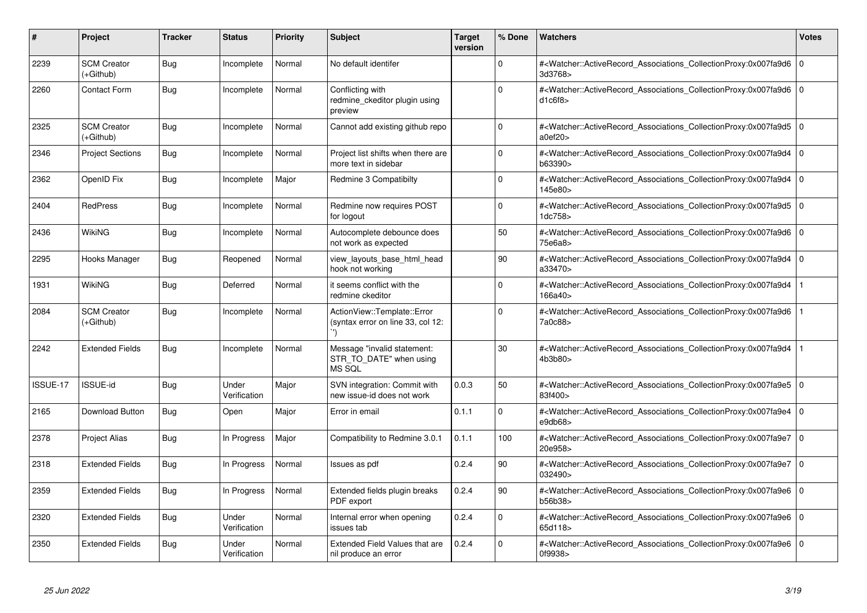| ∦        | <b>Project</b>                  | <b>Tracker</b> | <b>Status</b>         | <b>Priority</b> | <b>Subject</b>                                                   | <b>Target</b><br>version | % Done       | <b>Watchers</b>                                                                                                                                          | <b>Votes</b> |
|----------|---------------------------------|----------------|-----------------------|-----------------|------------------------------------------------------------------|--------------------------|--------------|----------------------------------------------------------------------------------------------------------------------------------------------------------|--------------|
| 2239     | <b>SCM Creator</b><br>(+Github) | Bug            | Incomplete            | Normal          | No default identifer                                             |                          | $\Omega$     | # <watcher::activerecord_associations_collectionproxy:0x007fa9d6 0<br=""  ="">3d3768&gt;</watcher::activerecord_associations_collectionproxy:0x007fa9d6> |              |
| 2260     | Contact Form                    | <b>Bug</b>     | Incomplete            | Normal          | Conflicting with<br>redmine ckeditor plugin using<br>preview     |                          | 0            | # <watcher::activerecord 0<br="" associations="" collectionproxy:0x007fa9d6=""  ="">d1c6f8</watcher::activerecord>                                       |              |
| 2325     | <b>SCM Creator</b><br>(+Github) | Bug            | Incomplete            | Normal          | Cannot add existing github repo                                  |                          | $\mathbf{0}$ | # <watcher::activerecord_associations_collectionproxy:0x007fa9d5 0<br=""  ="">a0ef20&gt;</watcher::activerecord_associations_collectionproxy:0x007fa9d5> |              |
| 2346     | <b>Project Sections</b>         | Bug            | Incomplete            | Normal          | Project list shifts when there are<br>more text in sidebar       |                          | $\mathbf 0$  | # <watcher::activerecord 0<br="" associations="" collectionproxy:0x007fa9d4=""  ="">b63390&gt;</watcher::activerecord>                                   |              |
| 2362     | OpenID Fix                      | Bug            | Incomplete            | Major           | Redmine 3 Compatibilty                                           |                          | $\Omega$     | # <watcher::activerecord 0<br="" associations="" collectionproxy:0x007fa9d4=""  ="">145e80&gt;</watcher::activerecord>                                   |              |
| 2404     | <b>RedPress</b>                 | <b>Bug</b>     | Incomplete            | Normal          | Redmine now requires POST<br>for logout                          |                          | $\Omega$     | # <watcher::activerecord_associations_collectionproxy:0x007fa9d5 0<br="">1dc758&gt;</watcher::activerecord_associations_collectionproxy:0x007fa9d5>      |              |
| 2436     | <b>WikiNG</b>                   | <b>Bug</b>     | Incomplete            | Normal          | Autocomplete debounce does<br>not work as expected               |                          | 50           | # <watcher::activerecord_associations_collectionproxy:0x007fa9d6 0<br=""  ="">75e6a8&gt;</watcher::activerecord_associations_collectionproxy:0x007fa9d6> |              |
| 2295     | Hooks Manager                   | <b>Bug</b>     | Reopened              | Normal          | view layouts base html head<br>hook not working                  |                          | 90           | # <watcher::activerecord_associations_collectionproxy:0x007fa9d4 0<br=""  ="">a33470&gt;</watcher::activerecord_associations_collectionproxy:0x007fa9d4> |              |
| 1931     | <b>WikiNG</b>                   | Bug            | Deferred              | Normal          | it seems conflict with the<br>redmine ckeditor                   |                          | 0            | # <watcher::activerecord_associations_collectionproxy:0x007fa9d4<br>166a40&gt;</watcher::activerecord_associations_collectionproxy:0x007fa9d4<br>        |              |
| 2084     | <b>SCM Creator</b><br>(+Github) | Bug            | Incomplete            | Normal          | ActionView::Template::Error<br>(syntax error on line 33, col 12: |                          | $\Omega$     | # <watcher::activerecord_associations_collectionproxy:0x007fa9d6<br>7a0c88&gt;</watcher::activerecord_associations_collectionproxy:0x007fa9d6<br>        |              |
| 2242     | <b>Extended Fields</b>          | <b>Bug</b>     | Incomplete            | Normal          | Message "invalid statement:<br>STR TO DATE" when using<br>MS SQL |                          | 30           | # <watcher::activerecord_associations_collectionproxy:0x007fa9d4<br>4b3b80&gt;</watcher::activerecord_associations_collectionproxy:0x007fa9d4<br>        |              |
| ISSUE-17 | ISSUE-id                        | <b>Bug</b>     | Under<br>Verification | Major           | SVN integration: Commit with<br>new issue-id does not work       | 0.0.3                    | 50           | # <watcher::activerecord_associations_collectionproxy:0x007fa9e5 0<br=""  ="">83f400&gt;</watcher::activerecord_associations_collectionproxy:0x007fa9e5> |              |
| 2165     | Download Button                 | Bug            | Open                  | Major           | Error in email                                                   | 0.1.1                    | $\Omega$     | # <watcher::activerecord_associations_collectionproxy:0x007fa9e4 0<br=""  ="">e9db68&gt;</watcher::activerecord_associations_collectionproxy:0x007fa9e4> |              |
| 2378     | Project Alias                   | Bug            | In Progress           | Major           | Compatibility to Redmine 3.0.1                                   | 0.1.1                    | 100          | # <watcher::activerecord_associations_collectionproxy:0x007fa9e7 0<br="">20e958&gt;</watcher::activerecord_associations_collectionproxy:0x007fa9e7>      |              |
| 2318     | <b>Extended Fields</b>          | Bug            | In Progress           | Normal          | Issues as pdf                                                    | 0.2.4                    | 90           | # <watcher::activerecord_associations_collectionproxy:0x007fa9e7 0<br=""  ="">032490&gt;</watcher::activerecord_associations_collectionproxy:0x007fa9e7> |              |
| 2359     | <b>Extended Fields</b>          | Bug            | In Progress           | Normal          | Extended fields plugin breaks<br>PDF export                      | 0.2.4                    | 90           | # <watcher::activerecord_associations_collectionproxy:0x007fa9e6 0<br=""  ="">b56b38&gt;</watcher::activerecord_associations_collectionproxy:0x007fa9e6> |              |
| 2320     | <b>Extended Fields</b>          | Bug            | Under<br>Verification | Normal          | Internal error when opening<br>issues tab                        | 0.2.4                    | $\mathbf 0$  | # <watcher::activerecord 0<br="" associations="" collectionproxy:0x007fa9e6=""  ="">65d118&gt;</watcher::activerecord>                                   |              |
| 2350     | <b>Extended Fields</b>          | Bug            | Under<br>Verification | Normal          | Extended Field Values that are<br>nil produce an error           | 0.2.4                    | $\Omega$     | # <watcher::activerecord 0<br="" associations="" collectionproxy:0x007fa9e6=""  ="">0f9938&gt;</watcher::activerecord>                                   |              |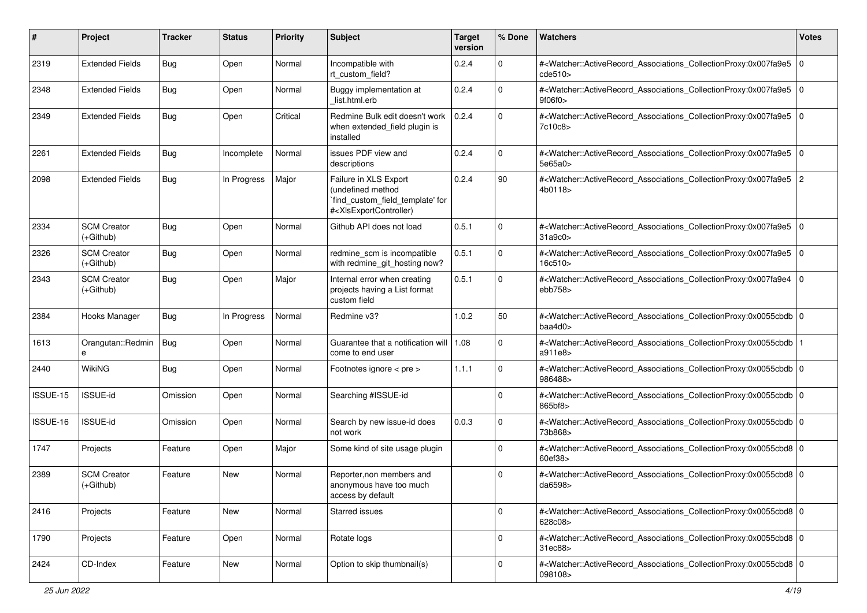| #        | Project                           | <b>Tracker</b> | <b>Status</b> | <b>Priority</b> | Subject                                                                                                                                                                                                                                                                                                                                | <b>Target</b><br>version | % Done      | Watchers                                                                                                                                                 | <b>Votes</b> |
|----------|-----------------------------------|----------------|---------------|-----------------|----------------------------------------------------------------------------------------------------------------------------------------------------------------------------------------------------------------------------------------------------------------------------------------------------------------------------------------|--------------------------|-------------|----------------------------------------------------------------------------------------------------------------------------------------------------------|--------------|
| 2319     | <b>Extended Fields</b>            | Bug            | Open          | Normal          | Incompatible with<br>rt_custom_field?                                                                                                                                                                                                                                                                                                  | 0.2.4                    | $\mathbf 0$ | # <watcher::activerecord_associations_collectionproxy:0x007fa9e5<br>cde510</watcher::activerecord_associations_collectionproxy:0x007fa9e5<br>            | $\mathbf 0$  |
| 2348     | <b>Extended Fields</b>            | <b>Bug</b>     | Open          | Normal          | Buggy implementation at<br>list.html.erb                                                                                                                                                                                                                                                                                               | 0.2.4                    | $\Omega$    | # <watcher::activerecord_associations_collectionproxy:0x007fa9e5 0<br=""  ="">9f06f0&gt;</watcher::activerecord_associations_collectionproxy:0x007fa9e5> |              |
| 2349     | <b>Extended Fields</b>            | Bug            | Open          | Critical        | Redmine Bulk edit doesn't work<br>when extended_field plugin is<br>installed                                                                                                                                                                                                                                                           | 0.2.4                    | $\Omega$    | # <watcher::activerecord_associations_collectionproxy:0x007fa9e5 0<br=""  ="">7c10c8&gt;</watcher::activerecord_associations_collectionproxy:0x007fa9e5> |              |
| 2261     | <b>Extended Fields</b>            | Bug            | Incomplete    | Normal          | issues PDF view and<br>descriptions                                                                                                                                                                                                                                                                                                    | 0.2.4                    | $\Omega$    | # <watcher::activerecord_associations_collectionproxy:0x007fa9e5 0<br=""  ="">5e65a0&gt;</watcher::activerecord_associations_collectionproxy:0x007fa9e5> |              |
| 2098     | <b>Extended Fields</b>            | <b>Bug</b>     | In Progress   | Major           | Failure in XLS Export<br>(undefined method<br>`find_custom_field_template' for<br># <xlsexportcontroller)< td=""><td>0.2.4</td><td>90</td><td>#<watcher::activerecord_associations_collectionproxy:0x007fa9e5 2<br="">4b0118&gt;</watcher::activerecord_associations_collectionproxy:0x007fa9e5></td><td></td></xlsexportcontroller)<> | 0.2.4                    | 90          | # <watcher::activerecord_associations_collectionproxy:0x007fa9e5 2<br="">4b0118&gt;</watcher::activerecord_associations_collectionproxy:0x007fa9e5>      |              |
| 2334     | <b>SCM Creator</b><br>$(+Github)$ | Bug            | Open          | Normal          | Github API does not load                                                                                                                                                                                                                                                                                                               | 0.5.1                    | $\Omega$    | # <watcher::activerecord_associations_collectionproxy:0x007fa9e5 0<br=""  ="">31a9c0</watcher::activerecord_associations_collectionproxy:0x007fa9e5>     |              |
| 2326     | <b>SCM Creator</b><br>$(+Github)$ | Bug            | Open          | Normal          | redmine_scm is incompatible<br>with redmine_git_hosting now?                                                                                                                                                                                                                                                                           | 0.5.1                    | $\Omega$    | # <watcher::activerecord_associations_collectionproxy:0x007fa9e5 0<br="">16c510&gt;</watcher::activerecord_associations_collectionproxy:0x007fa9e5>      |              |
| 2343     | <b>SCM Creator</b><br>$(+Github)$ | Bug            | Open          | Major           | Internal error when creating<br>projects having a List format<br>custom field                                                                                                                                                                                                                                                          | 0.5.1                    | $\Omega$    | # <watcher::activerecord_associations_collectionproxy:0x007fa9e4 0<br=""  ="">ebb758</watcher::activerecord_associations_collectionproxy:0x007fa9e4>     |              |
| 2384     | Hooks Manager                     | Bug            | In Progress   | Normal          | Redmine v3?                                                                                                                                                                                                                                                                                                                            | 1.0.2                    | 50          | # <watcher::activerecord_associations_collectionproxy:0x0055cbdb 0<br="">baa4d0</watcher::activerecord_associations_collectionproxy:0x0055cbdb>          |              |
| 1613     | Orangutan::Redmin                 | Bug            | Open          | Normal          | Guarantee that a notification will   1.08<br>come to end user                                                                                                                                                                                                                                                                          |                          | $\Omega$    | # <watcher::activerecord_associations_collectionproxy:0x0055cbdb 1<br=""  ="">a911e8&gt;</watcher::activerecord_associations_collectionproxy:0x0055cbdb> |              |
| 2440     | WikiNG                            | Bug            | Open          | Normal          | Footnotes ignore < pre >                                                                                                                                                                                                                                                                                                               | 1.1.1                    | $\Omega$    | # <watcher::activerecord_associations_collectionproxy:0x0055cbdb 0<br=""  ="">986488&gt;</watcher::activerecord_associations_collectionproxy:0x0055cbdb> |              |
| ISSUE-15 | <b>ISSUE-id</b>                   | Omission       | Open          | Normal          | Searching #ISSUE-id                                                                                                                                                                                                                                                                                                                    |                          | $\mathbf 0$ | # <watcher::activerecord_associations_collectionproxy:0x0055cbdb 0<br=""  ="">865bf8&gt;</watcher::activerecord_associations_collectionproxy:0x0055cbdb> |              |
| ISSUE-16 | <b>ISSUE-id</b>                   | Omission       | Open          | Normal          | Search by new issue-id does<br>not work                                                                                                                                                                                                                                                                                                | 0.0.3                    | $\mathbf 0$ | # <watcher::activerecord_associations_collectionproxy:0x0055cbdb 0<br="">73b868&gt;</watcher::activerecord_associations_collectionproxy:0x0055cbdb>      |              |
| 1747     | Projects                          | Feature        | Open          | Major           | Some kind of site usage plugin                                                                                                                                                                                                                                                                                                         |                          | $\Omega$    | # <watcher::activerecord_associations_collectionproxy:0x0055cbd8 0<br="">60ef38&gt;</watcher::activerecord_associations_collectionproxy:0x0055cbd8>      |              |
| 2389     | <b>SCM Creator</b><br>$(+Github)$ | Feature        | New           | Normal          | Reporter, non members and<br>anonymous have too much<br>access by default                                                                                                                                                                                                                                                              |                          | $\Omega$    | # <watcher::activerecord 0<br="" associations="" collectionproxy:0x0055cbd8="">da6598&gt;</watcher::activerecord>                                        |              |
| 2416     | Projects                          | Feature        | New           | Normal          | Starred issues                                                                                                                                                                                                                                                                                                                         |                          | $\mathbf 0$ | # <watcher::activerecord_associations_collectionproxy:0x0055cbd8 0<br=""  ="">628c08&gt;</watcher::activerecord_associations_collectionproxy:0x0055cbd8> |              |
| 1790     | Projects                          | Feature        | Open          | Normal          | Rotate logs                                                                                                                                                                                                                                                                                                                            |                          | $\pmb{0}$   | # <watcher::activerecord_associations_collectionproxy:0x0055cbd8 0<br=""  ="">31ec88&gt;</watcher::activerecord_associations_collectionproxy:0x0055cbd8> |              |
| 2424     | CD-Index                          | Feature        | New           | Normal          | Option to skip thumbnail(s)                                                                                                                                                                                                                                                                                                            |                          | $\mathbf 0$ | # <watcher::activerecord_associations_collectionproxy:0x0055cbd8 0<br="">098108&gt;</watcher::activerecord_associations_collectionproxy:0x0055cbd8>      |              |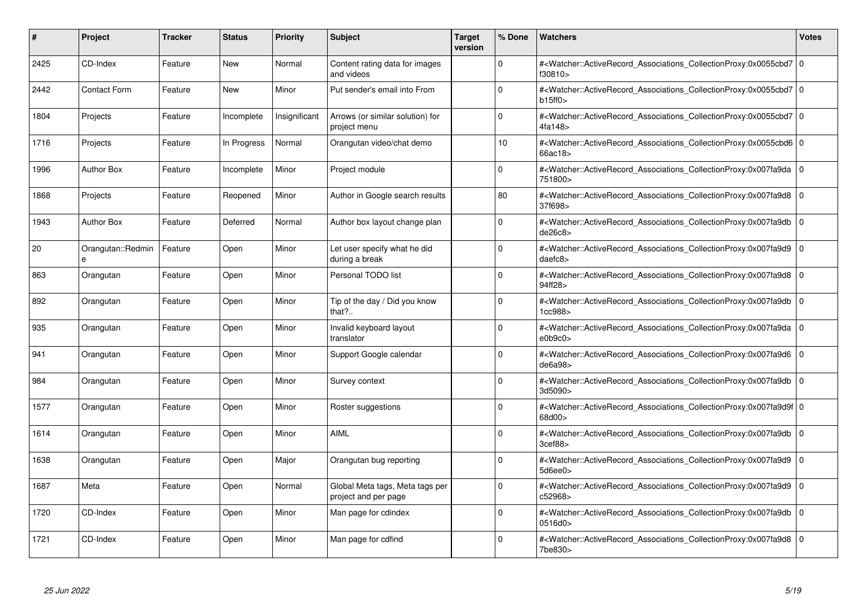| #    | Project             | <b>Tracker</b> | <b>Status</b> | <b>Priority</b> | <b>Subject</b>                                          | <b>Target</b><br>version | % Done      | <b>Watchers</b>                                                                                                                                           | <b>Votes</b> |
|------|---------------------|----------------|---------------|-----------------|---------------------------------------------------------|--------------------------|-------------|-----------------------------------------------------------------------------------------------------------------------------------------------------------|--------------|
| 2425 | CD-Index            | Feature        | <b>New</b>    | Normal          | Content rating data for images<br>and videos            |                          | $\Omega$    | # <watcher::activerecord 0<br="" associations="" collectionproxy:0x0055cbd7=""  ="">f30810&gt;</watcher::activerecord>                                    |              |
| 2442 | <b>Contact Form</b> | Feature        | New           | Minor           | Put sender's email into From                            |                          | $\Omega$    | # <watcher::activerecord 0<br="" associations="" collectionproxy:0x0055cbd7=""  ="">b15ff0</watcher::activerecord>                                        |              |
| 1804 | Projects            | Feature        | Incomplete    | Insignificant   | Arrows (or similar solution) for<br>project menu        |                          | $\Omega$    | # <watcher::activerecord_associations_collectionproxy:0x0055cbd7 0<br="">4fa148&gt;</watcher::activerecord_associations_collectionproxy:0x0055cbd7>       |              |
| 1716 | Projects            | Feature        | In Progress   | Normal          | Orangutan video/chat demo                               |                          | 10          | # <watcher::activerecord 0<br="" associations="" collectionproxy:0x0055cbd6=""  ="">66ac18&gt;</watcher::activerecord>                                    |              |
| 1996 | <b>Author Box</b>   | Feature        | Incomplete    | Minor           | Project module                                          |                          | $\Omega$    | # <watcher::activerecord_associations_collectionproxy:0x007fa9da 0<br=""  ="">751800&gt;</watcher::activerecord_associations_collectionproxy:0x007fa9da>  |              |
| 1868 | Projects            | Feature        | Reopened      | Minor           | Author in Google search results                         |                          | 80          | # <watcher::activerecord_associations_collectionproxy:0x007fa9d8 0<br="">37f698&gt;</watcher::activerecord_associations_collectionproxy:0x007fa9d8>       |              |
| 1943 | <b>Author Box</b>   | Feature        | Deferred      | Normal          | Author box layout change plan                           |                          | $\Omega$    | # <watcher::activerecord associations="" collectionproxy:0x007fa9db<br="">de26c8</watcher::activerecord>                                                  | $\mathbf 0$  |
| 20   | Orangutan::Redmin   | Feature        | Open          | Minor           | Let user specify what he did<br>during a break          |                          | $\Omega$    | # <watcher::activerecord_associations_collectionproxy:0x007fa9d9  <br="">daefc8</watcher::activerecord_associations_collectionproxy:0x007fa9d9>           | $\mathbf 0$  |
| 863  | Orangutan           | Feature        | Open          | Minor           | Personal TODO list                                      |                          | $\Omega$    | # <watcher::activerecord associations="" collectionproxy:0x007fa9d8<br="">94ff28&gt;</watcher::activerecord>                                              | $\mathbf 0$  |
| 892  | Orangutan           | Feature        | Open          | Minor           | Tip of the day / Did you know<br>that?                  |                          | $\Omega$    | # <watcher::activerecord associations="" collectionproxy:0x007fa9db=""  <br="">1cc988&gt;</watcher::activerecord>                                         | $\mathbf 0$  |
| 935  | Orangutan           | Feature        | Open          | Minor           | Invalid keyboard layout<br>translator                   |                          | $\Omega$    | # <watcher::activerecord_associations_collectionproxy:0x007fa9da 0<br=""  ="">e0b9c0</watcher::activerecord_associations_collectionproxy:0x007fa9da>      |              |
| 941  | Orangutan           | Feature        | Open          | Minor           | Support Google calendar                                 |                          | $\Omega$    | # <watcher::activerecord_associations_collectionproxy:0x007fa9d6 0<br=""  ="">de6a98&gt;</watcher::activerecord_associations_collectionproxy:0x007fa9d6>  |              |
| 984  | Orangutan           | Feature        | Open          | Minor           | Survey context                                          |                          | $\Omega$    | # <watcher::activerecord associations="" collectionproxy:0x007fa9db<br="">3d5090&gt;</watcher::activerecord>                                              | $\mathbf 0$  |
| 1577 | Orangutan           | Feature        | Open          | Minor           | Roster suggestions                                      |                          | $\Omega$    | # <watcher::activerecord_associations_collectionproxy:0x007fa9d9f 0<br=""  ="">68d00&gt;</watcher::activerecord_associations_collectionproxy:0x007fa9d9f> |              |
| 1614 | Orangutan           | Feature        | Open          | Minor           | <b>AIML</b>                                             |                          | $\Omega$    | # <watcher::activerecord 0<br="" associations="" collectionproxy:0x007fa9db=""  ="">3cef88</watcher::activerecord>                                        |              |
| 1638 | Orangutan           | Feature        | Open          | Major           | Orangutan bug reporting                                 |                          | $\Omega$    | # <watcher::activerecord_associations_collectionproxy:0x007fa9d9  <br="">5d6ee0</watcher::activerecord_associations_collectionproxy:0x007fa9d9>           | $\mathbf 0$  |
| 1687 | Meta                | Feature        | Open          | Normal          | Global Meta tags, Meta tags per<br>project and per page |                          | $\Omega$    | # <watcher::activerecord_associations_collectionproxy:0x007fa9d9  <br="">c52968&gt;</watcher::activerecord_associations_collectionproxy:0x007fa9d9>       | $\mathbf 0$  |
| 1720 | CD-Index            | Feature        | Open          | Minor           | Man page for cdindex                                    |                          | $\mathbf 0$ | # <watcher::activerecord associations="" collectionproxy:0x007fa9db=""  <br="">0516d0&gt;</watcher::activerecord>                                         | $\mathbf 0$  |
| 1721 | CD-Index            | Feature        | Open          | Minor           | Man page for cdfind                                     |                          | $\Omega$    | # <watcher::activerecord_associations_collectionproxy:0x007fa9d8 0<br=""  ="">7be830&gt;</watcher::activerecord_associations_collectionproxy:0x007fa9d8>  |              |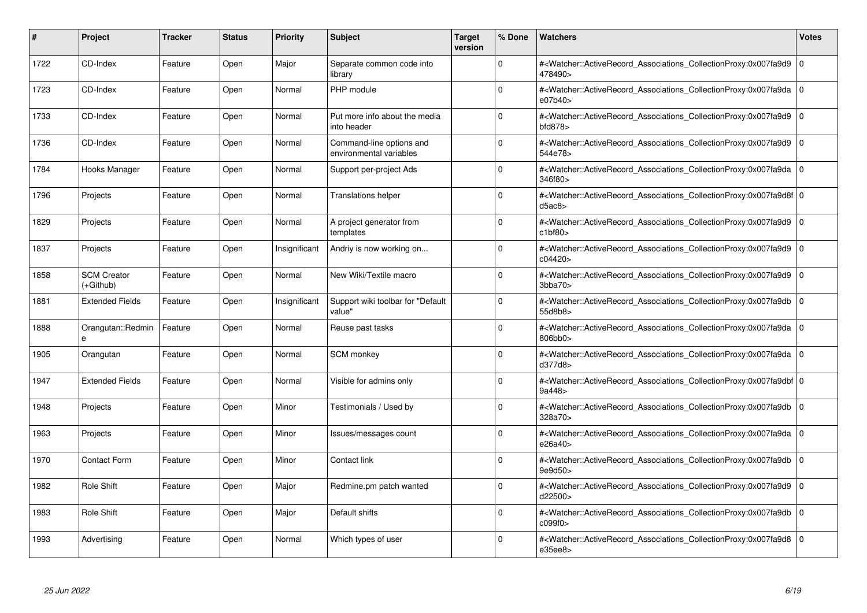| #    | Project                           | <b>Tracker</b> | <b>Status</b> | <b>Priority</b> | <b>Subject</b>                                      | <b>Target</b><br>version | % Done      | Watchers                                                                                                                                                  | <b>Votes</b>   |
|------|-----------------------------------|----------------|---------------|-----------------|-----------------------------------------------------|--------------------------|-------------|-----------------------------------------------------------------------------------------------------------------------------------------------------------|----------------|
| 1722 | CD-Index                          | Feature        | Open          | Major           | Separate common code into<br>library                |                          | 0           | # <watcher::activerecord_associations_collectionproxy:0x007fa9d9<br>478490&gt;</watcher::activerecord_associations_collectionproxy:0x007fa9d9<br>         | $\Omega$       |
| 1723 | CD-Index                          | Feature        | Open          | Normal          | PHP module                                          |                          | $\Omega$    | # <watcher::activerecord 0<br="" associations="" collectionproxy:0x007fa9da=""  ="">e07b40&gt;</watcher::activerecord>                                    |                |
| 1733 | CD-Index                          | Feature        | Open          | Normal          | Put more info about the media<br>into header        |                          | $\mathbf 0$ | # <watcher::activerecord_associations_collectionproxy:0x007fa9d9<br>bfd878</watcher::activerecord_associations_collectionproxy:0x007fa9d9<br>             | l 0            |
| 1736 | CD-Index                          | Feature        | Open          | Normal          | Command-line options and<br>environmental variables |                          | $\Omega$    | # <watcher::activerecord_associations_collectionproxy:0x007fa9d9 0<br=""  ="">544e78&gt;</watcher::activerecord_associations_collectionproxy:0x007fa9d9>  |                |
| 1784 | Hooks Manager                     | Feature        | Open          | Normal          | Support per-project Ads                             |                          | $\Omega$    | # <watcher::activerecord associations="" collectionproxy:0x007fa9da<br="">346f80&gt;</watcher::activerecord>                                              | l 0            |
| 1796 | Projects                          | Feature        | Open          | Normal          | <b>Translations helper</b>                          |                          | $\Omega$    | # <watcher::activerecord_associations_collectionproxy:0x007fa9d8f 0<br=""  ="">d5ac8</watcher::activerecord_associations_collectionproxy:0x007fa9d8f>     |                |
| 1829 | Projects                          | Feature        | Open          | Normal          | A project generator from<br>templates               |                          | $\Omega$    | # <watcher::activerecord_associations_collectionproxy:0x007fa9d9<br>c1bf80</watcher::activerecord_associations_collectionproxy:0x007fa9d9<br>             | $\overline{0}$ |
| 1837 | Projects                          | Feature        | Open          | Insignificant   | Andriy is now working on                            |                          | $\Omega$    | # <watcher::activerecord 0<br="" associations="" collectionproxy:0x007fa9d9=""  ="">c04420&gt;</watcher::activerecord>                                    |                |
| 1858 | <b>SCM Creator</b><br>$(+Github)$ | Feature        | Open          | Normal          | New Wiki/Textile macro                              |                          | $\Omega$    | # <watcher::activerecord_associations_collectionproxy:0x007fa9d9 0<br=""  ="">3bba70</watcher::activerecord_associations_collectionproxy:0x007fa9d9>      |                |
| 1881 | <b>Extended Fields</b>            | Feature        | Open          | Insignificant   | Support wiki toolbar for "Default<br>value"         |                          | $\Omega$    | # <watcher::activerecord_associations_collectionproxy:0x007fa9db 0<br=""  ="">55d8b8&gt;</watcher::activerecord_associations_collectionproxy:0x007fa9db>  |                |
| 1888 | Orangutan::Redmin<br>e            | Feature        | Open          | Normal          | Reuse past tasks                                    |                          | $\Omega$    | # <watcher::activerecord 0<br="" associations="" collectionproxy:0x007fa9da=""  ="">806bb0&gt;</watcher::activerecord>                                    |                |
| 1905 | Orangutan                         | Feature        | Open          | Normal          | SCM monkey                                          |                          | $\Omega$    | # <watcher::activerecord_associations_collectionproxy:0x007fa9da 0<br=""  ="">d377d8&gt;</watcher::activerecord_associations_collectionproxy:0x007fa9da>  |                |
| 1947 | <b>Extended Fields</b>            | Feature        | Open          | Normal          | Visible for admins only                             |                          | $\Omega$    | # <watcher::activerecord_associations_collectionproxy:0x007fa9dbf 0<br=""  ="">9a448&gt;</watcher::activerecord_associations_collectionproxy:0x007fa9dbf> |                |
| 1948 | Projects                          | Feature        | Open          | Minor           | Testimonials / Used by                              |                          | $\mathbf 0$ | # <watcher::activerecord_associations_collectionproxy:0x007fa9db 0<br="">328a70&gt;</watcher::activerecord_associations_collectionproxy:0x007fa9db>       |                |
| 1963 | Projects                          | Feature        | Open          | Minor           | Issues/messages count                               |                          | $\mathbf 0$ | # <watcher::activerecord_associations_collectionproxy:0x007fa9da 0<br=""  ="">e26a40&gt;</watcher::activerecord_associations_collectionproxy:0x007fa9da>  |                |
| 1970 | <b>Contact Form</b>               | Feature        | Open          | Minor           | Contact link                                        |                          | $\Omega$    | # <watcher::activerecord_associations_collectionproxy:0x007fa9db<br>9e9d50&gt;</watcher::activerecord_associations_collectionproxy:0x007fa9db<br>         | $\overline{0}$ |
| 1982 | Role Shift                        | Feature        | Open          | Major           | Redmine.pm patch wanted                             |                          | $\Omega$    | # <watcher::activerecord 0<br="" associations="" collectionproxy:0x007fa9d9=""  ="">d22500&gt;</watcher::activerecord>                                    |                |
| 1983 | <b>Role Shift</b>                 | Feature        | Open          | Major           | Default shifts                                      |                          | $\Omega$    | # <watcher::activerecord 0<br="" associations="" collectionproxy:0x007fa9db=""  ="">c099f0&gt;</watcher::activerecord>                                    |                |
| 1993 | Advertising                       | Feature        | Open          | Normal          | Which types of user                                 |                          | $\Omega$    | # <watcher::activerecord_associations_collectionproxy:0x007fa9d8 0<br=""  ="">e35ee8&gt;</watcher::activerecord_associations_collectionproxy:0x007fa9d8>  |                |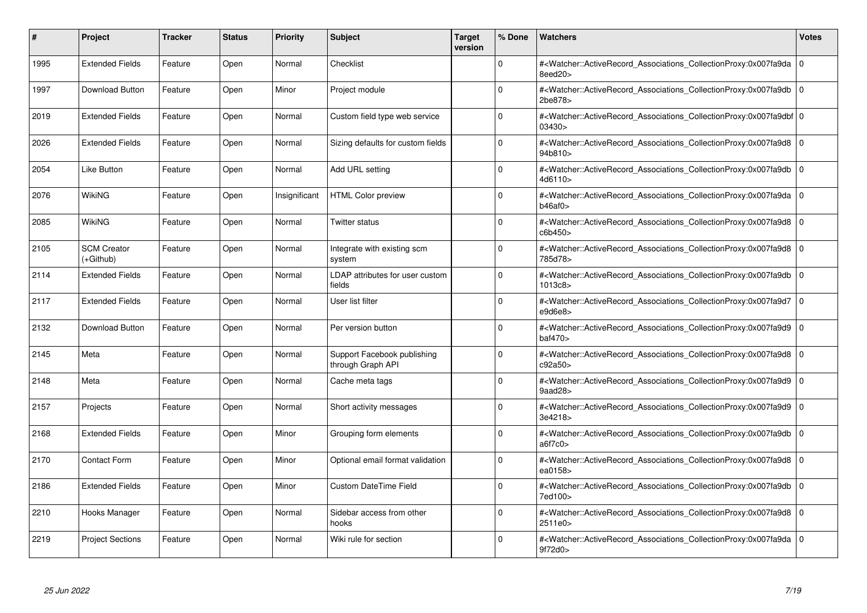| #    | <b>Project</b>                  | <b>Tracker</b> | <b>Status</b> | <b>Priority</b> | <b>Subject</b>                                   | Target<br>version | % Done      | <b>Watchers</b>                                                                                                                                          | <b>Votes</b> |
|------|---------------------------------|----------------|---------------|-----------------|--------------------------------------------------|-------------------|-------------|----------------------------------------------------------------------------------------------------------------------------------------------------------|--------------|
| 1995 | <b>Extended Fields</b>          | Feature        | Open          | Normal          | Checklist                                        |                   | $\Omega$    | # <watcher::activerecord associations="" collectionproxy:0x007fa9da<br="">8eed20&gt;</watcher::activerecord>                                             | $\mathbf 0$  |
| 1997 | Download Button                 | Feature        | Open          | Minor           | Project module                                   |                   | $\mathbf 0$ | # <watcher::activerecord_associations_collectionproxy:0x007fa9db 0<br=""  ="">2be878&gt;</watcher::activerecord_associations_collectionproxy:0x007fa9db> |              |
| 2019 | <b>Extended Fields</b>          | Feature        | Open          | Normal          | Custom field type web service                    |                   | $\Omega$    | # <watcher::activerecord 0<br="" associations="" collectionproxy:0x007fa9dbf=""  ="">03430&gt;</watcher::activerecord>                                   |              |
| 2026 | <b>Extended Fields</b>          | Feature        | Open          | Normal          | Sizing defaults for custom fields                |                   | $\Omega$    | # <watcher::activerecord 0<br="" associations="" collectionproxy:0x007fa9d8=""  ="">94b810&gt;</watcher::activerecord>                                   |              |
| 2054 | <b>Like Button</b>              | Feature        | Open          | Normal          | Add URL setting                                  |                   | $\Omega$    | # <watcher::activerecord associations="" collectionproxy:0x007fa9db<br="">4d6110&gt;</watcher::activerecord>                                             | l 0          |
| 2076 | WikiNG                          | Feature        | Open          | Insignificant   | <b>HTML Color preview</b>                        |                   | $\Omega$    | # <watcher::activerecord 0<br="" associations="" collectionproxy:0x007fa9da=""  ="">b46af0</watcher::activerecord>                                       |              |
| 2085 | <b>WikiNG</b>                   | Feature        | Open          | Normal          | Twitter status                                   |                   | $\Omega$    | # <watcher::activerecord_associations_collectionproxy:0x007fa9d8<br>c6b450&gt;</watcher::activerecord_associations_collectionproxy:0x007fa9d8<br>        | l O          |
| 2105 | <b>SCM Creator</b><br>(+Github) | Feature        | Open          | Normal          | Integrate with existing scm<br>system            |                   | $\Omega$    | # <watcher::activerecord 0<br="" associations="" collectionproxy:0x007fa9d8=""  ="">785d78&gt;</watcher::activerecord>                                   |              |
| 2114 | <b>Extended Fields</b>          | Feature        | Open          | Normal          | LDAP attributes for user custom<br>fields        |                   | $\Omega$    | # <watcher::activerecord_associations_collectionproxy:0x007fa9db<br>1013c8</watcher::activerecord_associations_collectionproxy:0x007fa9db<br>            | l o          |
| 2117 | <b>Extended Fields</b>          | Feature        | Open          | Normal          | User list filter                                 |                   | $\Omega$    | # <watcher::activerecord_associations_collectionproxy:0x007fa9d7 0<br=""  ="">e9d6e8&gt;</watcher::activerecord_associations_collectionproxy:0x007fa9d7> |              |
| 2132 | Download Button                 | Feature        | Open          | Normal          | Per version button                               |                   | $\Omega$    | # <watcher::activerecord 0<br="" associations="" collectionproxy:0x007fa9d9=""  ="">baf470&gt;</watcher::activerecord>                                   |              |
| 2145 | Meta                            | Feature        | Open          | Normal          | Support Facebook publishing<br>through Graph API |                   | $\Omega$    | # <watcher::activerecord_associations_collectionproxy:0x007fa9d8 0<br=""  ="">c92a50&gt;</watcher::activerecord_associations_collectionproxy:0x007fa9d8> |              |
| 2148 | Meta                            | Feature        | Open          | Normal          | Cache meta tags                                  |                   | $\Omega$    | # <watcher::activerecord 0<br="" associations="" collectionproxy:0x007fa9d9=""  ="">9aad28&gt;</watcher::activerecord>                                   |              |
| 2157 | Projects                        | Feature        | Open          | Normal          | Short activity messages                          |                   | $\mathbf 0$ | # <watcher::activerecord_associations_collectionproxy:0x007fa9d9 0<br=""  ="">3e4218&gt;</watcher::activerecord_associations_collectionproxy:0x007fa9d9> |              |
| 2168 | <b>Extended Fields</b>          | Feature        | Open          | Minor           | Grouping form elements                           |                   | $\Omega$    | # <watcher::activerecord_associations_collectionproxy:0x007fa9db 0<br=""  ="">a6f7c0</watcher::activerecord_associations_collectionproxy:0x007fa9db>     |              |
| 2170 | <b>Contact Form</b>             | Feature        | Open          | Minor           | Optional email format validation                 |                   | $\Omega$    | # <watcher::activerecord 0<br="" associations="" collectionproxy:0x007fa9d8=""  ="">ea0158&gt;</watcher::activerecord>                                   |              |
| 2186 | <b>Extended Fields</b>          | Feature        | Open          | Minor           | <b>Custom DateTime Field</b>                     |                   | $\Omega$    | # <watcher::activerecord 0<br="" associations="" collectionproxy:0x007fa9db=""  ="">7ed100&gt;</watcher::activerecord>                                   |              |
| 2210 | Hooks Manager                   | Feature        | Open          | Normal          | Sidebar access from other<br>hooks               |                   | $\mathbf 0$ | # <watcher::activerecord 0<br="" associations="" collectionproxy:0x007fa9d8=""  ="">2511e0&gt;</watcher::activerecord>                                   |              |
| 2219 | <b>Project Sections</b>         | Feature        | Open          | Normal          | Wiki rule for section                            |                   | $\Omega$    | # <watcher::activerecord 0<br="" associations="" collectionproxy:0x007fa9da=""  ="">9f72d0&gt;</watcher::activerecord>                                   |              |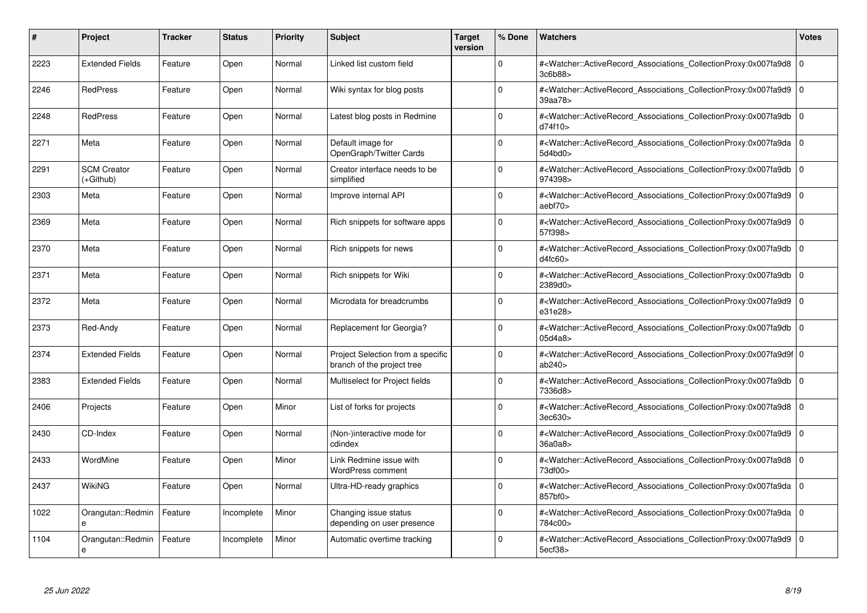| #    | Project                         | <b>Tracker</b> | <b>Status</b> | <b>Priority</b> | <b>Subject</b>                                                  | <b>Target</b><br>version | % Done      | <b>Watchers</b>                                                                                                                                           | <b>Votes</b>   |
|------|---------------------------------|----------------|---------------|-----------------|-----------------------------------------------------------------|--------------------------|-------------|-----------------------------------------------------------------------------------------------------------------------------------------------------------|----------------|
| 2223 | <b>Extended Fields</b>          | Feature        | Open          | Normal          | Linked list custom field                                        |                          | $\Omega$    | # <watcher::activerecord associations="" collectionproxy:0x007fa9d8<br="">3c6b88&gt;</watcher::activerecord>                                              | 0              |
| 2246 | <b>RedPress</b>                 | Feature        | Open          | Normal          | Wiki syntax for blog posts                                      |                          | $\Omega$    | # <watcher::activerecord associations="" collectionproxy:0x007fa9d9<br="">39aa78&gt;</watcher::activerecord>                                              | 0              |
| 2248 | <b>RedPress</b>                 | Feature        | Open          | Normal          | Latest blog posts in Redmine                                    |                          | $\Omega$    | # <watcher::activerecord_associations_collectionproxy:0x007fa9db<br>d74f10&gt;</watcher::activerecord_associations_collectionproxy:0x007fa9db<br>         | $\overline{0}$ |
| 2271 | Meta                            | Feature        | Open          | Normal          | Default image for<br>OpenGraph/Twitter Cards                    |                          | $\Omega$    | # <watcher::activerecord 0<br="" associations="" collectionproxy:0x007fa9da=""  ="">5d4bd0&gt;</watcher::activerecord>                                    |                |
| 2291 | <b>SCM Creator</b><br>(+Github) | Feature        | Open          | Normal          | Creator interface needs to be<br>simplified                     |                          | $\Omega$    | # <watcher::activerecord_associations_collectionproxy:0x007fa9db<br>974398&gt;</watcher::activerecord_associations_collectionproxy:0x007fa9db<br>         | $\overline{0}$ |
| 2303 | Meta                            | Feature        | Open          | Normal          | Improve internal API                                            |                          | $\Omega$    | # <watcher::activerecord associations="" collectionproxy:0x007fa9d9<br="">aebf70&gt;</watcher::activerecord>                                              | ۱o             |
| 2369 | Meta                            | Feature        | Open          | Normal          | Rich snippets for software apps                                 |                          | $\mathbf 0$ | # <watcher::activerecord_associations_collectionproxy:0x007fa9d9<br>57f398&gt;</watcher::activerecord_associations_collectionproxy:0x007fa9d9<br>         | l O            |
| 2370 | Meta                            | Feature        | Open          | Normal          | Rich snippets for news                                          |                          | $\Omega$    | # <watcher::activerecord_associations_collectionproxy:0x007fa9db<br>d4fc60&gt;</watcher::activerecord_associations_collectionproxy:0x007fa9db<br>         | l 0            |
| 2371 | Meta                            | Feature        | Open          | Normal          | Rich snippets for Wiki                                          |                          | $\Omega$    | # <watcher::activerecord associations="" collectionproxy:0x007fa9db<br="">2389d0&gt;</watcher::activerecord>                                              | 0              |
| 2372 | Meta                            | Feature        | Open          | Normal          | Microdata for breadcrumbs                                       |                          | $\Omega$    | # <watcher::activerecord_associations_collectionproxy:0x007fa9d9<br>e31e28&gt;</watcher::activerecord_associations_collectionproxy:0x007fa9d9<br>         | l 0            |
| 2373 | Red-Andy                        | Feature        | Open          | Normal          | Replacement for Georgia?                                        |                          | $\Omega$    | # <watcher::activerecord associations="" collectionproxy:0x007fa9db<br="">05d4a8</watcher::activerecord>                                                  | l 0            |
| 2374 | <b>Extended Fields</b>          | Feature        | Open          | Normal          | Project Selection from a specific<br>branch of the project tree |                          | $\Omega$    | # <watcher::activerecord_associations_collectionproxy:0x007fa9d9f 0<br=""  ="">ab240&gt;</watcher::activerecord_associations_collectionproxy:0x007fa9d9f> |                |
| 2383 | <b>Extended Fields</b>          | Feature        | Open          | Normal          | Multiselect for Project fields                                  |                          | $\Omega$    | # <watcher::activerecord associations="" collectionproxy:0x007fa9db<br="">7336d8&gt;</watcher::activerecord>                                              | l 0            |
| 2406 | Projects                        | Feature        | Open          | Minor           | List of forks for projects                                      |                          | $\Omega$    | # <watcher::activerecord associations="" collectionproxy:0x007fa9d8<br="">3ec630&gt;</watcher::activerecord>                                              | ۱o             |
| 2430 | CD-Index                        | Feature        | Open          | Normal          | (Non-)interactive mode for<br>cdindex                           |                          | $\Omega$    | # <watcher::activerecord_associations_collectionproxy:0x007fa9d9<br>36a0a8&gt;</watcher::activerecord_associations_collectionproxy:0x007fa9d9<br>         | $\overline{0}$ |
| 2433 | WordMine                        | Feature        | Open          | Minor           | Link Redmine issue with<br><b>WordPress comment</b>             |                          | $\Omega$    | # <watcher::activerecord associations="" collectionproxy:0x007fa9d8<br="">73df00&gt;</watcher::activerecord>                                              | ۱o             |
| 2437 | <b>WikiNG</b>                   | Feature        | Open          | Normal          | Ultra-HD-ready graphics                                         |                          | $\Omega$    | # <watcher::activerecord_associations_collectionproxy:0x007fa9da<br>857bf0&gt;</watcher::activerecord_associations_collectionproxy:0x007fa9da<br>         | $\overline{0}$ |
| 1022 | Orangutan::Redmin<br>e          | Feature        | Incomplete    | Minor           | Changing issue status<br>depending on user presence             |                          | $\Omega$    | # <watcher::activerecord_associations_collectionproxy:0x007fa9da<br>784c00&gt;</watcher::activerecord_associations_collectionproxy:0x007fa9da<br>         | ۱o             |
| 1104 | Orangutan::Redmin<br>e          | Feature        | Incomplete    | Minor           | Automatic overtime tracking                                     |                          | $\Omega$    | # <watcher::activerecord_associations_collectionproxy:0x007fa9d9<br>5ecf38&gt;</watcher::activerecord_associations_collectionproxy:0x007fa9d9<br>         | l o            |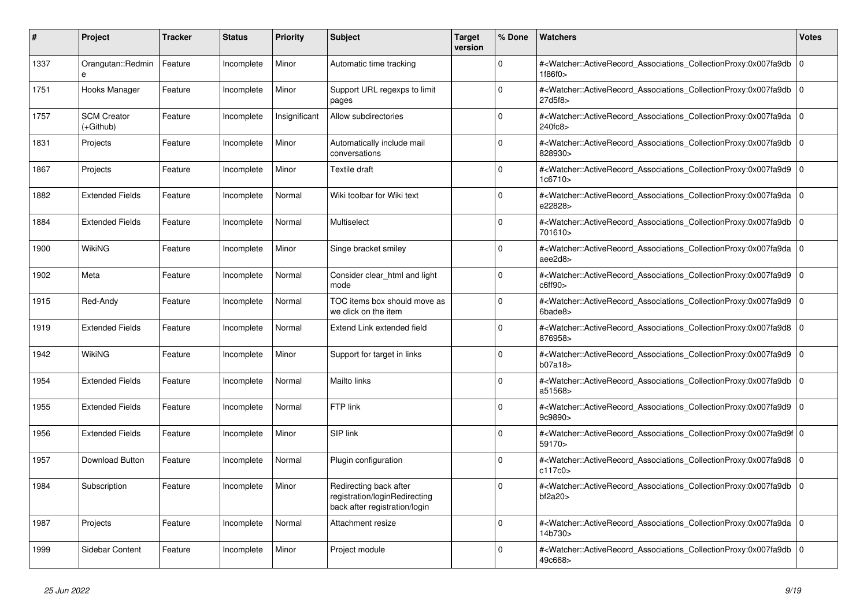| #    | <b>Project</b>                  | <b>Tracker</b> | <b>Status</b> | <b>Priority</b> | <b>Subject</b>                                                                           | <b>Target</b><br>version | % Done      | <b>Watchers</b>                                                                                                                                           | <b>Votes</b> |
|------|---------------------------------|----------------|---------------|-----------------|------------------------------------------------------------------------------------------|--------------------------|-------------|-----------------------------------------------------------------------------------------------------------------------------------------------------------|--------------|
| 1337 | Orangutan::Redmin<br>e          | Feature        | Incomplete    | Minor           | Automatic time tracking                                                                  |                          | $\Omega$    | # <watcher::activerecord associations="" collectionproxy:0x007fa9db<br="">1f86f0&gt;</watcher::activerecord>                                              | l 0          |
| 1751 | Hooks Manager                   | Feature        | Incomplete    | Minor           | Support URL regexps to limit<br>pages                                                    |                          | $\Omega$    | # <watcher::activerecord associations="" collectionproxy:0x007fa9db<br="">27d5f8&gt;</watcher::activerecord>                                              | l 0          |
| 1757 | <b>SCM Creator</b><br>(+Github) | Feature        | Incomplete    | Insignificant   | Allow subdirectories                                                                     |                          | $\Omega$    | # <watcher::activerecord_associations_collectionproxy:0x007fa9da 0<br=""  ="">240fc8</watcher::activerecord_associations_collectionproxy:0x007fa9da>      |              |
| 1831 | Projects                        | Feature        | Incomplete    | Minor           | Automatically include mail<br>conversations                                              |                          | $\Omega$    | # <watcher::activerecord associations="" collectionproxy:0x007fa9db<br="">828930&gt;</watcher::activerecord>                                              | $\Omega$     |
| 1867 | Projects                        | Feature        | Incomplete    | Minor           | Textile draft                                                                            |                          | $\Omega$    | # <watcher::activerecord associations="" collectionproxy:0x007fa9d9<br="">1c6710&gt;</watcher::activerecord>                                              | $\Omega$     |
| 1882 | <b>Extended Fields</b>          | Feature        | Incomplete    | Normal          | Wiki toolbar for Wiki text                                                               |                          | $\Omega$    | # <watcher::activerecord 0<br="" associations="" collectionproxy:0x007fa9da=""  ="">e22828&gt;</watcher::activerecord>                                    |              |
| 1884 | <b>Extended Fields</b>          | Feature        | Incomplete    | Normal          | Multiselect                                                                              |                          | $\Omega$    | # <watcher::activerecord associations="" collectionproxy:0x007fa9db<br="">701610&gt;</watcher::activerecord>                                              | $\Omega$     |
| 1900 | WikiNG                          | Feature        | Incomplete    | Minor           | Singe bracket smiley                                                                     |                          | $\Omega$    | # <watcher::activerecord 0<br="" associations="" collectionproxy:0x007fa9da=""  ="">aee2d8&gt;</watcher::activerecord>                                    |              |
| 1902 | Meta                            | Feature        | Incomplete    | Normal          | Consider clear html and light<br>mode                                                    |                          | $\mathbf 0$ | # <watcher::activerecord_associations_collectionproxy:0x007fa9d9 0<br=""  ="">c6ff90</watcher::activerecord_associations_collectionproxy:0x007fa9d9>      |              |
| 1915 | Red-Andy                        | Feature        | Incomplete    | Normal          | TOC items box should move as<br>we click on the item                                     |                          | $\Omega$    | # <watcher::activerecord_associations_collectionproxy:0x007fa9d9<br>6bade8&gt;</watcher::activerecord_associations_collectionproxy:0x007fa9d9<br>         | $\Omega$     |
| 1919 | <b>Extended Fields</b>          | Feature        | Incomplete    | Normal          | Extend Link extended field                                                               |                          | $\mathbf 0$ | # <watcher::activerecord_associations_collectionproxy:0x007fa9d8 0<br=""  ="">876958&gt;</watcher::activerecord_associations_collectionproxy:0x007fa9d8>  |              |
| 1942 | WikiNG                          | Feature        | Incomplete    | Minor           | Support for target in links                                                              |                          | $\Omega$    | # <watcher::activerecord associations="" collectionproxy:0x007fa9d9<br="">b07a18</watcher::activerecord>                                                  | $\Omega$     |
| 1954 | <b>Extended Fields</b>          | Feature        | Incomplete    | Normal          | Mailto links                                                                             |                          | $\Omega$    | # <watcher::activerecord_associations_collectionproxy:0x007fa9db<br>a51568&gt;</watcher::activerecord_associations_collectionproxy:0x007fa9db<br>         | 0            |
| 1955 | <b>Extended Fields</b>          | Feature        | Incomplete    | Normal          | FTP link                                                                                 |                          | $\Omega$    | # <watcher::activerecord 0<br="" associations="" collectionproxy:0x007fa9d9=""  ="">9c9890&gt;</watcher::activerecord>                                    |              |
| 1956 | <b>Extended Fields</b>          | Feature        | Incomplete    | Minor           | SIP link                                                                                 |                          | $\Omega$    | # <watcher::activerecord_associations_collectionproxy:0x007fa9d9f 0<br=""  ="">59170&gt;</watcher::activerecord_associations_collectionproxy:0x007fa9d9f> |              |
| 1957 | <b>Download Button</b>          | Feature        | Incomplete    | Normal          | Plugin configuration                                                                     |                          | $\Omega$    | # <watcher::activerecord_associations_collectionproxy:0x007fa9d8 0<br=""  ="">c117c0&gt;</watcher::activerecord_associations_collectionproxy:0x007fa9d8>  |              |
| 1984 | Subscription                    | Feature        | Incomplete    | Minor           | Redirecting back after<br>registration/loginRedirecting<br>back after registration/login |                          | $\mathbf 0$ | # <watcher::activerecord associations="" collectionproxy:0x007fa9db<br="">bf2a20</watcher::activerecord>                                                  | l 0          |
| 1987 | Projects                        | Feature        | Incomplete    | Normal          | Attachment resize                                                                        |                          | $\Omega$    | # <watcher::activerecord 0<br="" associations="" collectionproxy:0x007fa9da=""  ="">14b730&gt;</watcher::activerecord>                                    |              |
| 1999 | Sidebar Content                 | Feature        | Incomplete    | Minor           | Project module                                                                           |                          | $\Omega$    | # <watcher::activerecord_associations_collectionproxy:0x007fa9db 0<br=""  ="">49c668&gt;</watcher::activerecord_associations_collectionproxy:0x007fa9db>  |              |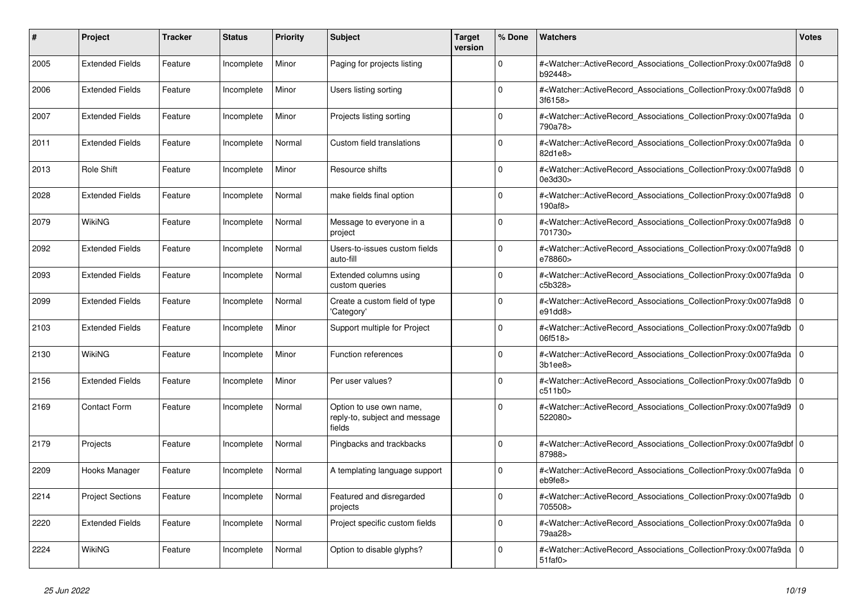| #    | <b>Project</b>          | Tracker | <b>Status</b> | <b>Priority</b> | <b>Subject</b>                                                     | <b>Target</b><br>version | % Done   | <b>Watchers</b>                                                                                                                                                                | <b>Votes</b> |
|------|-------------------------|---------|---------------|-----------------|--------------------------------------------------------------------|--------------------------|----------|--------------------------------------------------------------------------------------------------------------------------------------------------------------------------------|--------------|
| 2005 | <b>Extended Fields</b>  | Feature | Incomplete    | Minor           | Paging for projects listing                                        |                          | $\Omega$ | # <watcher::activerecord_associations_collectionproxy:0x007fa9d8<br>b92448&gt;</watcher::activerecord_associations_collectionproxy:0x007fa9d8<br>                              | $\Omega$     |
| 2006 | <b>Extended Fields</b>  | Feature | Incomplete    | Minor           | Users listing sorting                                              |                          | $\Omega$ | # <watcher::activerecord_associations_collectionproxy:0x007fa9d8 0<br=""  ="">3f6158&gt;</watcher::activerecord_associations_collectionproxy:0x007fa9d8>                       |              |
| 2007 | <b>Extended Fields</b>  | Feature | Incomplete    | Minor           | Projects listing sorting                                           |                          | $\Omega$ | # <watcher::activerecord_associations_collectionproxy:0x007fa9da 0<br=""  ="">790a78&gt;</watcher::activerecord_associations_collectionproxy:0x007fa9da>                       |              |
| 2011 | <b>Extended Fields</b>  | Feature | Incomplete    | Normal          | Custom field translations                                          |                          | $\Omega$ | # <watcher::activerecord_associations_collectionproxy:0x007fa9da 0<br="">82d1e8&gt;</watcher::activerecord_associations_collectionproxy:0x007fa9da>                            |              |
| 2013 | <b>Role Shift</b>       | Feature | Incomplete    | Minor           | Resource shifts                                                    |                          | $\Omega$ | # <watcher::activerecord_associations_collectionproxy:0x007fa9d8 0<br=""  ="">0e3d30&gt;</watcher::activerecord_associations_collectionproxy:0x007fa9d8>                       |              |
| 2028 | <b>Extended Fields</b>  | Feature | Incomplete    | Normal          | make fields final option                                           |                          | $\Omega$ | # <watcher::activerecord 0<br="" associations="" collectionproxy:0x007fa9d8=""  ="">190af8&gt;</watcher::activerecord>                                                         |              |
| 2079 | WikiNG                  | Feature | Incomplete    | Normal          | Message to everyone in a<br>project                                |                          | $\Omega$ | # <watcher::activerecord associations="" collectionproxy:0x007fa9d8<br="">701730&gt;</watcher::activerecord>                                                                   | $\mathbf 0$  |
| 2092 | <b>Extended Fields</b>  | Feature | Incomplete    | Normal          | Users-to-issues custom fields<br>auto-fill                         |                          | $\Omega$ | # <watcher::activerecord_associations_collectionproxy:0x007fa9d8 0<br=""  ="">e78860&gt;</watcher::activerecord_associations_collectionproxy:0x007fa9d8>                       |              |
| 2093 | <b>Extended Fields</b>  | Feature | Incomplete    | Normal          | Extended columns using<br>custom queries                           |                          | $\Omega$ | # <watcher::activerecord_associations_collectionproxy:0x007fa9da 0<br=""  ="">c5b328&gt;</watcher::activerecord_associations_collectionproxy:0x007fa9da>                       |              |
| 2099 | <b>Extended Fields</b>  | Feature | Incomplete    | Normal          | Create a custom field of type<br>'Category'                        |                          | $\Omega$ | # <watcher::activerecord_associations_collectionproxy:0x007fa9d8 0<br=""  ="">e91ddB</watcher::activerecord_associations_collectionproxy:0x007fa9d8>                           |              |
| 2103 | <b>Extended Fields</b>  | Feature | Incomplete    | Minor           | Support multiple for Project                                       |                          | $\Omega$ | # <watcher::activerecord_associations_collectionproxy:0x007fa9db  <br="">06f518&gt;</watcher::activerecord_associations_collectionproxy:0x007fa9db>                            | $\Omega$     |
| 2130 | WikiNG                  | Feature | Incomplete    | Minor           | Function references                                                |                          | $\Omega$ | # <watcher::activerecord associations="" collectionproxy:0x007fa9da=""  <br="">3b1ee8</watcher::activerecord>                                                                  | l O          |
| 2156 | <b>Extended Fields</b>  | Feature | Incomplete    | Minor           | Per user values?                                                   |                          | $\Omega$ | # <watcher::activerecord associations="" collectionproxy:0x007fa9db<br="">c511b0</watcher::activerecord>                                                                       | $\Omega$     |
| 2169 | <b>Contact Form</b>     | Feature | Incomplete    | Normal          | Option to use own name,<br>reply-to, subject and message<br>fields |                          | $\Omega$ | # <watcher::activerecord 0<br="" associations="" collectionproxy:0x007fa9d9=""  ="">522080&gt;</watcher::activerecord>                                                         |              |
| 2179 | Projects                | Feature | Incomplete    | Normal          | Pingbacks and trackbacks                                           |                          | $\Omega$ | # <watcher::activerecord_associations_collectionproxy:0x007fa9dbf 0<br=""  ="">87988&gt;</watcher::activerecord_associations_collectionproxy:0x007fa9dbf>                      |              |
| 2209 | Hooks Manager           | Feature | Incomplete    | Normal          | A templating language support                                      |                          | 0        | # <watcher::activerecord_associations_collectionproxy:0x007fa9da 0<br=""  ="">eb9fe8&gt;</watcher::activerecord_associations_collectionproxy:0x007fa9da>                       |              |
| 2214 | <b>Project Sections</b> | Feature | Incomplete    | Normal          | Featured and disregarded<br>projects                               |                          | $\Omega$ | # <watcher::activerecord 0<br="" associations="" collectionproxy:0x007fa9db=""  ="">705508&gt;</watcher::activerecord>                                                         |              |
| 2220 | <b>Extended Fields</b>  | Feature | Incomplete    | Normal          | Project specific custom fields                                     |                          | $\Omega$ | # <watcher::activerecord 0<br="" associations="" collectionproxy:0x007fa9da=""  ="">79aa28&gt;</watcher::activerecord>                                                         |              |
| 2224 | WikiNG                  | Feature | Incomplete    | Normal          | Option to disable glyphs?                                          |                          | $\Omega$ | # <watcher::activerecord_associations_collectionproxy:0x007fa9da 0<br=""  =""><math>51</math>faf<math>0</math></watcher::activerecord_associations_collectionproxy:0x007fa9da> |              |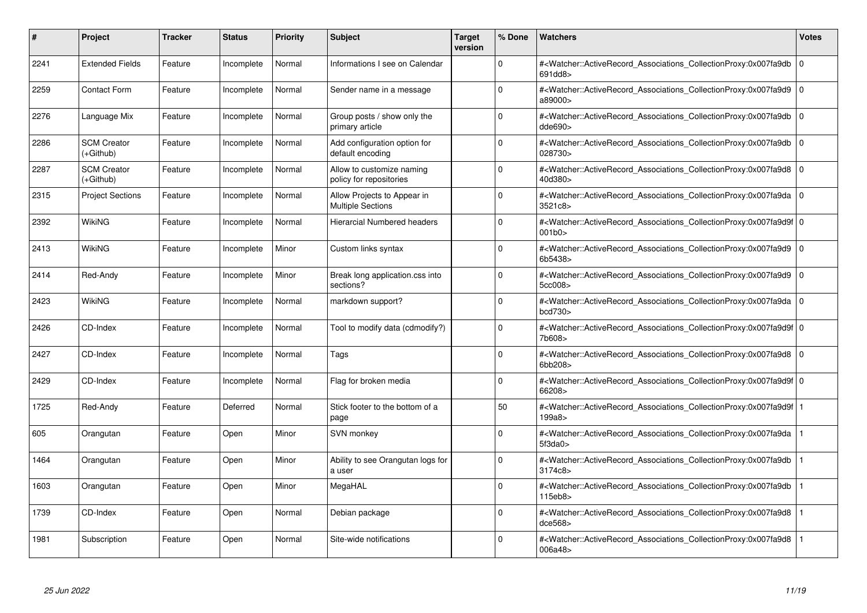| #    | <b>Project</b>                  | <b>Tracker</b> | <b>Status</b> | <b>Priority</b> | <b>Subject</b>                                          | Target<br>version | % Done      | <b>Watchers</b>                                                                                                                                           | <b>Votes</b> |
|------|---------------------------------|----------------|---------------|-----------------|---------------------------------------------------------|-------------------|-------------|-----------------------------------------------------------------------------------------------------------------------------------------------------------|--------------|
| 2241 | <b>Extended Fields</b>          | Feature        | Incomplete    | Normal          | Informations I see on Calendar                          |                   | $\Omega$    | # <watcher::activerecord associations="" collectionproxy:0x007fa9db<br="">691dd8&gt;</watcher::activerecord>                                              | $\Omega$     |
| 2259 | <b>Contact Form</b>             | Feature        | Incomplete    | Normal          | Sender name in a message                                |                   | $\mathbf 0$ | # <watcher::activerecord 0<br="" associations="" collectionproxy:0x007fa9d9=""  ="">a89000&gt;</watcher::activerecord>                                    |              |
| 2276 | Language Mix                    | Feature        | Incomplete    | Normal          | Group posts / show only the<br>primary article          |                   | $\Omega$    | # <watcher::activerecord_associations_collectionproxy:0x007fa9db<br>dde690</watcher::activerecord_associations_collectionproxy:0x007fa9db<br>             | 0            |
| 2286 | <b>SCM Creator</b><br>(+Github) | Feature        | Incomplete    | Normal          | Add configuration option for<br>default encoding        |                   | $\Omega$    | # <watcher::activerecord 0<br="" associations="" collectionproxy:0x007fa9db=""  ="">028730&gt;</watcher::activerecord>                                    |              |
| 2287 | <b>SCM Creator</b><br>(+Github) | Feature        | Incomplete    | Normal          | Allow to customize naming<br>policy for repositories    |                   | $\Omega$    | # <watcher::activerecord_associations_collectionproxy:0x007fa9d8 0<br=""  ="">40d380&gt;</watcher::activerecord_associations_collectionproxy:0x007fa9d8>  |              |
| 2315 | <b>Project Sections</b>         | Feature        | Incomplete    | Normal          | Allow Projects to Appear in<br><b>Multiple Sections</b> |                   | $\Omega$    | # <watcher::activerecord_associations_collectionproxy:0x007fa9da 0<br=""  ="">3521c8&gt;</watcher::activerecord_associations_collectionproxy:0x007fa9da>  |              |
| 2392 | WikiNG                          | Feature        | Incomplete    | Normal          | Hierarcial Numbered headers                             |                   | $\mathbf 0$ | # <watcher::activerecord 0<br="" associations="" collectionproxy:0x007fa9d9f=""  ="">001b0</watcher::activerecord>                                        |              |
| 2413 | <b>WikiNG</b>                   | Feature        | Incomplete    | Minor           | Custom links syntax                                     |                   | $\Omega$    | # <watcher::activerecord_associations_collectionproxy:0x007fa9d9 0<br=""  ="">6b5438&gt;</watcher::activerecord_associations_collectionproxy:0x007fa9d9>  |              |
| 2414 | Red-Andy                        | Feature        | Incomplete    | Minor           | Break long application.css into<br>sections?            |                   | $\Omega$    | # <watcher::activerecord 0<br="" associations="" collectionproxy:0x007fa9d9=""  ="">5cc008&gt;</watcher::activerecord>                                    |              |
| 2423 | WikiNG                          | Feature        | Incomplete    | Normal          | markdown support?                                       |                   | $\mathbf 0$ | # <watcher::activerecord 0<br="" associations="" collectionproxy:0x007fa9da=""  ="">bcd730&gt;</watcher::activerecord>                                    |              |
| 2426 | CD-Index                        | Feature        | Incomplete    | Normal          | Tool to modify data (cdmodify?)                         |                   | $\Omega$    | # <watcher::activerecord_associations_collectionproxy:0x007fa9d9f 0<br="">7b608&gt;</watcher::activerecord_associations_collectionproxy:0x007fa9d9f>      |              |
| 2427 | CD-Index                        | Feature        | Incomplete    | Normal          | Tags                                                    |                   | $\Omega$    | # <watcher::activerecord_associations_collectionproxy:0x007fa9d8 0<br="">6bb208&gt;</watcher::activerecord_associations_collectionproxy:0x007fa9d8>       |              |
| 2429 | CD-Index                        | Feature        | Incomplete    | Normal          | Flag for broken media                                   |                   | $\mathbf 0$ | # <watcher::activerecord_associations_collectionproxy:0x007fa9d9f 0<br="">66208&gt;</watcher::activerecord_associations_collectionproxy:0x007fa9d9f>      |              |
| 1725 | Red-Andy                        | Feature        | Deferred      | Normal          | Stick footer to the bottom of a<br>page                 |                   | 50          | # <watcher::activerecord_associations_collectionproxy:0x007fa9d9f 1<br=""  ="">199a8&gt;</watcher::activerecord_associations_collectionproxy:0x007fa9d9f> |              |
| 605  | Orangutan                       | Feature        | Open          | Minor           | SVN monkey                                              |                   | $\mathbf 0$ | # <watcher::activerecord associations="" collectionproxy:0x007fa9da<br="">5f3da0&gt;</watcher::activerecord>                                              |              |
| 1464 | Orangutan                       | Feature        | Open          | Minor           | Ability to see Orangutan logs for<br>a user             |                   | $\Omega$    | # <watcher::activerecord_associations_collectionproxy:0x007fa9db<br>3174c8&gt;</watcher::activerecord_associations_collectionproxy:0x007fa9db<br>         |              |
| 1603 | Orangutan                       | Feature        | Open          | Minor           | MegaHAL                                                 |                   | $\Omega$    | # <watcher::activerecord associations="" collectionproxy:0x007fa9db<br="">115eb8&gt;</watcher::activerecord>                                              |              |
| 1739 | CD-Index                        | Feature        | Open          | Normal          | Debian package                                          |                   | $\Omega$    | # <watcher::activerecord associations="" collectionproxy:0x007fa9d8<br="">dce568</watcher::activerecord>                                                  |              |
| 1981 | Subscription                    | Feature        | Open          | Normal          | Site-wide notifications                                 |                   | $\Omega$    | # <watcher::activerecord associations="" collectionproxy:0x007fa9d8<br="">006a48&gt;</watcher::activerecord>                                              |              |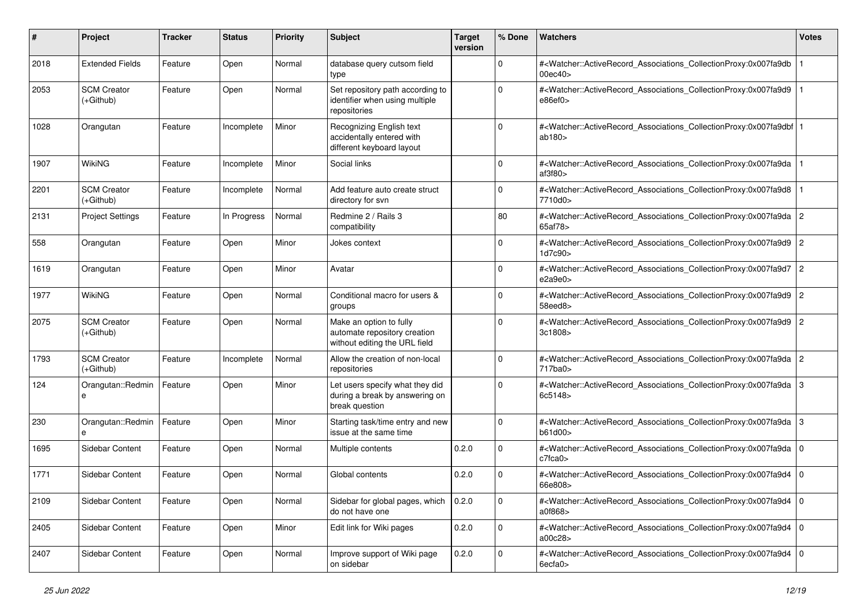| #    | Project                           | <b>Tracker</b> | <b>Status</b> | <b>Priority</b> | <b>Subject</b>                                                                           | <b>Target</b><br>version | % Done      | Watchers                                                                                                                                                                           | <b>Votes</b> |
|------|-----------------------------------|----------------|---------------|-----------------|------------------------------------------------------------------------------------------|--------------------------|-------------|------------------------------------------------------------------------------------------------------------------------------------------------------------------------------------|--------------|
| 2018 | <b>Extended Fields</b>            | Feature        | Open          | Normal          | database query cutsom field<br>type                                                      |                          | $\mathbf 0$ | # <watcher::activerecord_associations_collectionproxy:0x007fa9db<br>00ec40&gt;</watcher::activerecord_associations_collectionproxy:0x007fa9db<br>                                  |              |
| 2053 | <b>SCM Creator</b><br>(+Github)   | Feature        | Open          | Normal          | Set repository path according to<br>identifier when using multiple<br>repositories       |                          | $\Omega$    | # <watcher::activerecord_associations_collectionproxy:0x007fa9d9<br>e86ef0&gt;</watcher::activerecord_associations_collectionproxy:0x007fa9d9<br>                                  |              |
| 1028 | Orangutan                         | Feature        | Incomplete    | Minor           | Recognizing English text<br>accidentally entered with<br>different keyboard layout       |                          | $\Omega$    | # <watcher::activerecord_associations_collectionproxy:0x007fa9dbf 1<br=""  ="">ab180&gt;</watcher::activerecord_associations_collectionproxy:0x007fa9dbf>                          |              |
| 1907 | <b>WikiNG</b>                     | Feature        | Incomplete    | Minor           | Social links                                                                             |                          | $\Omega$    | # <watcher::activerecord_associations_collectionproxy:0x007fa9da<br>af3f80</watcher::activerecord_associations_collectionproxy:0x007fa9da<br>                                      |              |
| 2201 | <b>SCM Creator</b><br>$(+Github)$ | Feature        | Incomplete    | Normal          | Add feature auto create struct<br>directory for svn                                      |                          | $\Omega$    | # <watcher::activerecord_associations_collectionproxy:0x007fa9d8<br>7710d0&gt;</watcher::activerecord_associations_collectionproxy:0x007fa9d8<br>                                  |              |
| 2131 | <b>Project Settings</b>           | Feature        | In Progress   | Normal          | Redmine 2 / Rails 3<br>compatibility                                                     |                          | 80          | # <watcher::activerecord_associations_collectionproxy:0x007fa9da 2<br="">65af78&gt;</watcher::activerecord_associations_collectionproxy:0x007fa9da>                                |              |
| 558  | Orangutan                         | Feature        | Open          | Minor           | Jokes context                                                                            |                          | 0           | # <watcher::activerecord_associations_collectionproxy:0x007fa9d9 2<br="">1d7c90&gt;</watcher::activerecord_associations_collectionproxy:0x007fa9d9>                                |              |
| 1619 | Orangutan                         | Feature        | Open          | Minor           | Avatar                                                                                   |                          | $\Omega$    | # <watcher::activerecord_associations_collectionproxy:0x007fa9d7<br>e2a9e0</watcher::activerecord_associations_collectionproxy:0x007fa9d7<br>                                      | 2            |
| 1977 | WikiNG                            | Feature        | Open          | Normal          | Conditional macro for users &<br>groups                                                  |                          | $\Omega$    | # <watcher::activerecord_associations_collectionproxy:0x007fa9d9 2<br="">58eed8&gt;</watcher::activerecord_associations_collectionproxy:0x007fa9d9>                                |              |
| 2075 | <b>SCM Creator</b><br>$(+Github)$ | Feature        | Open          | Normal          | Make an option to fully<br>automate repository creation<br>without editing the URL field |                          | $\mathbf 0$ | # <watcher::activerecord_associations_collectionproxy:0x007fa9d9 2<br="">3c1808&gt;</watcher::activerecord_associations_collectionproxy:0x007fa9d9>                                |              |
| 1793 | <b>SCM Creator</b><br>$(+Github)$ | Feature        | Incomplete    | Normal          | Allow the creation of non-local<br>repositories                                          |                          | $\mathbf 0$ | # <watcher::activerecord_associations_collectionproxy:0x007fa9da<br>717ba0&gt;</watcher::activerecord_associations_collectionproxy:0x007fa9da<br>                                  | 2            |
| 124  | Orangutan::Redmin<br>e            | Feature        | Open          | Minor           | Let users specify what they did<br>during a break by answering on<br>break question      |                          | $\mathbf 0$ | # <watcher::activerecord_associations_collectionproxy:0x007fa9da 3<br="">6c5148&gt;</watcher::activerecord_associations_collectionproxy:0x007fa9da>                                |              |
| 230  | Orangutan::Redmin<br>e            | Feature        | Open          | Minor           | Starting task/time entry and new<br>issue at the same time                               |                          | $\mathbf 0$ | # <watcher::activerecord_associations_collectionproxy:0x007fa9da 3<br="">b61d00&gt;</watcher::activerecord_associations_collectionproxy:0x007fa9da>                                |              |
| 1695 | Sidebar Content                   | Feature        | Open          | Normal          | Multiple contents                                                                        | 0.2.0                    | $\mathbf 0$ | # <watcher::activerecord_associations_collectionproxy:0x007fa9da 0<br=""  =""><math>c7</math>fca<math>0&gt;</math></watcher::activerecord_associations_collectionproxy:0x007fa9da> |              |
| 1771 | Sidebar Content                   | Feature        | Open          | Normal          | Global contents                                                                          | 0.2.0                    | $\Omega$    | # <watcher::activerecord_associations_collectionproxy:0x007fa9d4 0<br="">66e808&gt;</watcher::activerecord_associations_collectionproxy:0x007fa9d4>                                |              |
| 2109 | Sidebar Content                   | Feature        | Open          | Normal          | Sidebar for global pages, which<br>do not have one                                       | 0.2.0                    | 0           | # <watcher::activerecord_associations_collectionproxy:0x007fa9d4 0<br=""  ="">a0f868&gt;</watcher::activerecord_associations_collectionproxy:0x007fa9d4>                           |              |
| 2405 | Sidebar Content                   | Feature        | Open          | Minor           | Edit link for Wiki pages                                                                 | 0.2.0                    | $\mathbf 0$ | # <watcher::activerecord_associations_collectionproxy:0x007fa9d4 0<br="">a00c28&gt;</watcher::activerecord_associations_collectionproxy:0x007fa9d4>                                |              |
| 2407 | Sidebar Content                   | Feature        | Open          | Normal          | Improve support of Wiki page<br>on sidebar                                               | 0.2.0                    | $\mathbf 0$ | # <watcher::activerecord_associations_collectionproxy:0x007fa9d4 0<br="">6ecfa0&gt;</watcher::activerecord_associations_collectionproxy:0x007fa9d4>                                |              |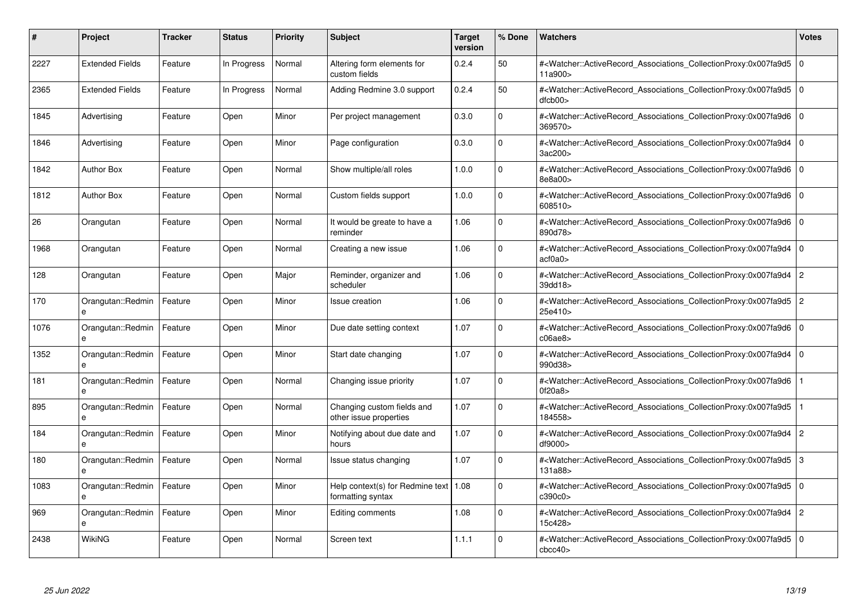| #    | Project                | <b>Tracker</b> | <b>Status</b> | <b>Priority</b> | <b>Subject</b>                                                 | <b>Target</b><br>version | % Done      | <b>Watchers</b>                                                                                                                                     | <b>Votes</b>   |
|------|------------------------|----------------|---------------|-----------------|----------------------------------------------------------------|--------------------------|-------------|-----------------------------------------------------------------------------------------------------------------------------------------------------|----------------|
| 2227 | <b>Extended Fields</b> | Feature        | In Progress   | Normal          | Altering form elements for<br>custom fields                    | 0.2.4                    | 50          | # <watcher::activerecord associations="" collectionproxy:0x007fa9d5<br="">11a900&gt;</watcher::activerecord>                                        | 0              |
| 2365 | <b>Extended Fields</b> | Feature        | In Progress   | Normal          | Adding Redmine 3.0 support                                     | 0.2.4                    | 50          | # <watcher::activerecord associations="" collectionproxy:0x007fa9d5<br=""><math>d</math>fcb<math>00</math></watcher::activerecord>                  | l O            |
| 1845 | Advertising            | Feature        | Open          | Minor           | Per project management                                         | 0.3.0                    | $\Omega$    | # <watcher::activerecord associations="" collectionproxy:0x007fa9d6<br="">369570&gt;</watcher::activerecord>                                        | 0              |
| 1846 | Advertising            | Feature        | Open          | Minor           | Page configuration                                             | 0.3.0                    | $\Omega$    | # <watcher::activerecord_associations_collectionproxy:0x007fa9d4<br>3ac200&gt;</watcher::activerecord_associations_collectionproxy:0x007fa9d4<br>   | $\overline{0}$ |
| 1842 | <b>Author Box</b>      | Feature        | Open          | Normal          | Show multiple/all roles                                        | 1.0.0                    | $\Omega$    | # <watcher::activerecord associations="" collectionproxy:0x007fa9d6<br="">8e8a00&gt;</watcher::activerecord>                                        | $\overline{0}$ |
| 1812 | <b>Author Box</b>      | Feature        | Open          | Normal          | Custom fields support                                          | 1.0.0                    | $\Omega$    | # <watcher::activerecord associations="" collectionproxy:0x007fa9d6<br="">608510&gt;</watcher::activerecord>                                        | l O            |
| 26   | Orangutan              | Feature        | Open          | Normal          | It would be greate to have a<br>reminder                       | 1.06                     | $\mathbf 0$ | # <watcher::activerecord_associations_collectionproxy:0x007fa9d6<br>890d78&gt;</watcher::activerecord_associations_collectionproxy:0x007fa9d6<br>   | l o            |
| 1968 | Orangutan              | Feature        | Open          | Normal          | Creating a new issue                                           | 1.06                     | $\Omega$    | # <watcher::activerecord associations="" collectionproxy:0x007fa9d4<br="">act0a0&gt;</watcher::activerecord>                                        | $\overline{0}$ |
| 128  | Orangutan              | Feature        | Open          | Major           | Reminder, organizer and<br>scheduler                           | 1.06                     | $\Omega$    | # <watcher::activerecord associations="" collectionproxy:0x007fa9d4<br="">39dd18&gt;</watcher::activerecord>                                        | $\overline{2}$ |
| 170  | Orangutan::Redmin<br>e | Feature        | Open          | Minor           | Issue creation                                                 | 1.06                     | $\mathbf 0$ | # <watcher::activerecord_associations_collectionproxy:0x007fa9d5 2<br="">25e410&gt;</watcher::activerecord_associations_collectionproxy:0x007fa9d5> |                |
| 1076 | Orangutan::Redmin<br>e | Feature        | Open          | Minor           | Due date setting context                                       | 1.07                     | $\Omega$    | # <watcher::activerecord_associations_collectionproxy:0x007fa9d6<br>c06ae8</watcher::activerecord_associations_collectionproxy:0x007fa9d6<br>       | l O            |
| 1352 | Orangutan::Redmin<br>e | Feature        | Open          | Minor           | Start date changing                                            | 1.07                     | $\Omega$    | # <watcher::activerecord_associations_collectionproxy:0x007fa9d4<br>990d38&gt;</watcher::activerecord_associations_collectionproxy:0x007fa9d4<br>   | $\overline{0}$ |
| 181  | Orangutan::Redmin<br>e | Feature        | Open          | Normal          | Changing issue priority                                        | 1.07                     | $\mathbf 0$ | # <watcher::activerecord associations="" collectionproxy:0x007fa9d6<br="">0f20a8</watcher::activerecord>                                            |                |
| 895  | Orangutan::Redmin<br>e | Feature        | Open          | Normal          | Changing custom fields and<br>other issue properties           | 1.07                     | $\mathbf 0$ | # <watcher::activerecord_associations_collectionproxy:0x007fa9d5<br>184558&gt;</watcher::activerecord_associations_collectionproxy:0x007fa9d5<br>   |                |
| 184  | Orangutan::Redmin      | Feature        | Open          | Minor           | Notifying about due date and<br>hours                          | 1.07                     | $\Omega$    | # <watcher::activerecord_associations_collectionproxy:0x007fa9d4<br>df9000&gt;</watcher::activerecord_associations_collectionproxy:0x007fa9d4<br>   | $\overline{2}$ |
| 180  | Orangutan::Redmin      | Feature        | Open          | Normal          | Issue status changing                                          | 1.07                     | $\Omega$    | # <watcher::activerecord associations="" collectionproxy:0x007fa9d5<br="">131a88&gt;</watcher::activerecord>                                        | 3              |
| 1083 | Orangutan::Redmin<br>e | Feature        | Open          | Minor           | Help context(s) for Redmine text   $1.08$<br>formatting syntax |                          | $\Omega$    | # <watcher::activerecord associations="" collectionproxy:0x007fa9d5<br="">c390c0&gt;</watcher::activerecord>                                        | l O            |
| 969  | Orangutan::Redmin<br>e | Feature        | Open          | Minor           | Editing comments                                               | 1.08                     | $\Omega$    | # <watcher::activerecord associations="" collectionproxy:0x007fa9d4<br="">15c428&gt;</watcher::activerecord>                                        | $\overline{2}$ |
| 2438 | <b>WikiNG</b>          | Feature        | Open          | Normal          | Screen text                                                    | 1.1.1                    | $\Omega$    | # <watcher::activerecord_associations_collectionproxy:0x007fa9d5<br>cbcc40</watcher::activerecord_associations_collectionproxy:0x007fa9d5<br>       | l 0            |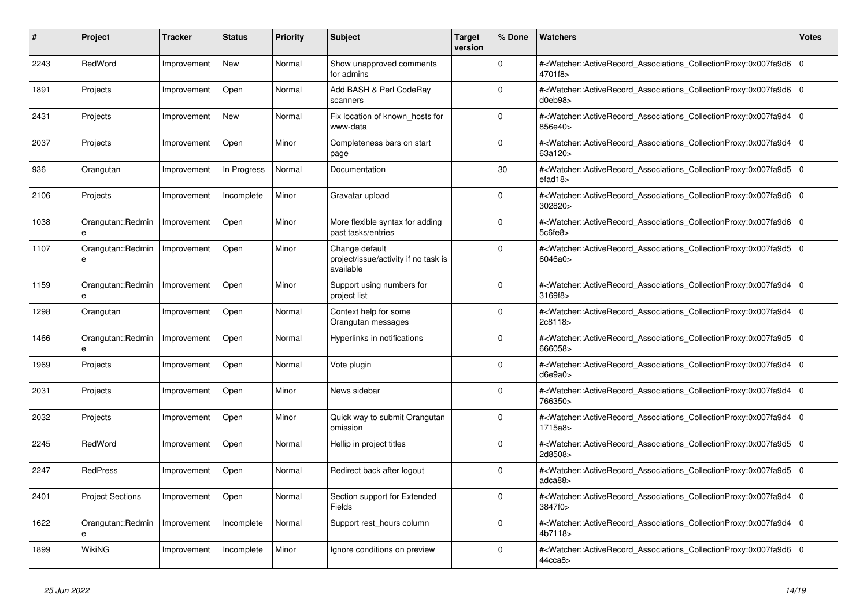| #    | <b>Project</b>                    | <b>Tracker</b> | <b>Status</b> | <b>Priority</b> | <b>Subject</b>                                                      | <b>Target</b><br>version | % Done      | <b>Watchers</b>                                                                                                                                          | <b>Votes</b> |
|------|-----------------------------------|----------------|---------------|-----------------|---------------------------------------------------------------------|--------------------------|-------------|----------------------------------------------------------------------------------------------------------------------------------------------------------|--------------|
| 2243 | RedWord                           | Improvement    | <b>New</b>    | Normal          | Show unapproved comments<br>for admins                              |                          | $\Omega$    | # <watcher::activerecord_associations_collectionproxy:0x007fa9d6<br>4701f8&gt;</watcher::activerecord_associations_collectionproxy:0x007fa9d6<br>        | 0            |
| 1891 | Projects                          | Improvement    | Open          | Normal          | Add BASH & Perl CodeRay<br>scanners                                 |                          | $\Omega$    | # <watcher::activerecord_associations_collectionproxy:0x007fa9d6 0<br="">d0eb98</watcher::activerecord_associations_collectionproxy:0x007fa9d6>          |              |
| 2431 | Projects                          | Improvement    | <b>New</b>    | Normal          | Fix location of known hosts for<br>www-data                         |                          | $\mathbf 0$ | # <watcher::activerecord_associations_collectionproxy:0x007fa9d4 0<br=""  ="">856e40&gt;</watcher::activerecord_associations_collectionproxy:0x007fa9d4> |              |
| 2037 | Projects                          | Improvement    | Open          | Minor           | Completeness bars on start<br>page                                  |                          | $\Omega$    | # <watcher::activerecord_associations_collectionproxy:0x007fa9d4<br>63a120&gt;</watcher::activerecord_associations_collectionproxy:0x007fa9d4<br>        | 0            |
| 936  | Orangutan                         | Improvement    | In Progress   | Normal          | Documentation                                                       |                          | 30          | # <watcher::activerecord_associations_collectionproxy:0x007fa9d5 0<br="">efad18</watcher::activerecord_associations_collectionproxy:0x007fa9d5>          |              |
| 2106 | Projects                          | Improvement    | Incomplete    | Minor           | Gravatar upload                                                     |                          | $\Omega$    | # <watcher::activerecord 0<br="" associations="" collectionproxy:0x007fa9d6=""  ="">302820&gt;</watcher::activerecord>                                   |              |
| 1038 | Orangutan::Redmin<br>$\mathbf{a}$ | Improvement    | Open          | Minor           | More flexible syntax for adding<br>past tasks/entries               |                          | $\Omega$    | # <watcher::activerecord associations="" collectionproxy:0x007fa9d6<br="">5c6fe8&gt;</watcher::activerecord>                                             | $\Omega$     |
| 1107 | Orangutan::Redmin<br>e            | Improvement    | Open          | Minor           | Change default<br>project/issue/activity if no task is<br>available |                          | $\Omega$    | # <watcher::activerecord_associations_collectionproxy:0x007fa9d5 0<br=""  ="">6046a0&gt;</watcher::activerecord_associations_collectionproxy:0x007fa9d5> |              |
| 1159 | Orangutan::Redmin<br>e            | Improvement    | Open          | Minor           | Support using numbers for<br>project list                           |                          | $\Omega$    | # <watcher::activerecord_associations_collectionproxy:0x007fa9d4 0<br=""  ="">3169f8&gt;</watcher::activerecord_associations_collectionproxy:0x007fa9d4> |              |
| 1298 | Orangutan                         | Improvement    | Open          | Normal          | Context help for some<br>Orangutan messages                         |                          | $\Omega$    | # <watcher::activerecord_associations_collectionproxy:0x007fa9d4<br>2c8118&gt;</watcher::activerecord_associations_collectionproxy:0x007fa9d4<br>        | $\Omega$     |
| 1466 | Orangutan::Redmin<br>e            | Improvement    | Open          | Normal          | Hyperlinks in notifications                                         |                          | $\Omega$    | # <watcher::activerecord 0<br="" associations="" collectionproxy:0x007fa9d5=""  ="">666058&gt;</watcher::activerecord>                                   |              |
| 1969 | Projects                          | Improvement    | Open          | Normal          | Vote plugin                                                         |                          | $\Omega$    | # <watcher::activerecord_associations_collectionproxy:0x007fa9d4 0<br=""  ="">d6e9a0</watcher::activerecord_associations_collectionproxy:0x007fa9d4>     |              |
| 2031 | Projects                          | Improvement    | Open          | Minor           | News sidebar                                                        |                          | $\Omega$    | # <watcher::activerecord_associations_collectionproxy:0x007fa9d4<br>766350&gt;</watcher::activerecord_associations_collectionproxy:0x007fa9d4<br>        | l 0          |
| 2032 | Projects                          | Improvement    | Open          | Minor           | Quick way to submit Orangutan<br>omission                           |                          | $\Omega$    | # <watcher::activerecord_associations_collectionproxy:0x007fa9d4 0<br=""  ="">1715a8</watcher::activerecord_associations_collectionproxy:0x007fa9d4>     |              |
| 2245 | RedWord                           | Improvement    | Open          | Normal          | Hellip in project titles                                            |                          | $\Omega$    | # <watcher::activerecord_associations_collectionproxy:0x007fa9d5<br>2d8508&gt;</watcher::activerecord_associations_collectionproxy:0x007fa9d5<br>        | l O          |
| 2247 | <b>RedPress</b>                   | Improvement    | Open          | Normal          | Redirect back after logout                                          |                          | $\mathbf 0$ | # <watcher::activerecord_associations_collectionproxy:0x007fa9d5<br>adca88&gt;</watcher::activerecord_associations_collectionproxy:0x007fa9d5<br>        | 0            |
| 2401 | <b>Project Sections</b>           | Improvement    | Open          | Normal          | Section support for Extended<br>Fields                              |                          | $\Omega$    | # <watcher::activerecord_associations_collectionproxy:0x007fa9d4 0<br=""  ="">3847f0&gt;</watcher::activerecord_associations_collectionproxy:0x007fa9d4> |              |
| 1622 | Orangutan::Redmin<br>$\mathbf{a}$ | Improvement    | Incomplete    | Normal          | Support rest hours column                                           |                          | $\Omega$    | # <watcher::activerecord associations="" collectionproxy:0x007fa9d4<br="">4b7118&gt;</watcher::activerecord>                                             | l 0          |
| 1899 | WikiNG                            | Improvement    | Incomplete    | Minor           | Ignore conditions on preview                                        |                          | $\Omega$    | # <watcher::activerecord_associations_collectionproxy:0x007fa9d6 0<br=""  ="">44cca8&gt;</watcher::activerecord_associations_collectionproxy:0x007fa9d6> |              |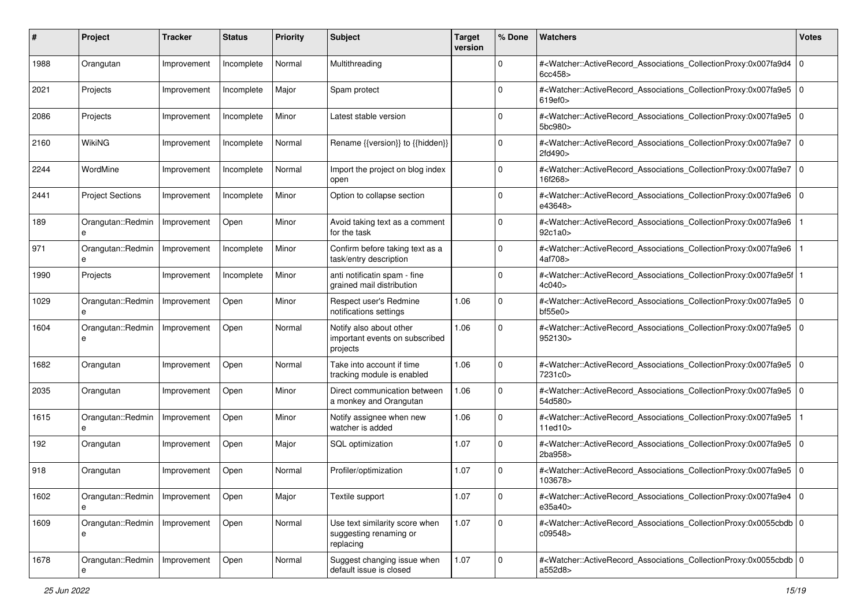| #    | Project                              | <b>Tracker</b> | <b>Status</b> | <b>Priority</b> | <b>Subject</b>                                                        | <b>Target</b><br>version | % Done      | Watchers                                                                                                                                                                           | <b>Votes</b> |
|------|--------------------------------------|----------------|---------------|-----------------|-----------------------------------------------------------------------|--------------------------|-------------|------------------------------------------------------------------------------------------------------------------------------------------------------------------------------------|--------------|
| 1988 | Orangutan                            | Improvement    | Incomplete    | Normal          | Multithreading                                                        |                          | 0           | # <watcher::activerecord_associations_collectionproxy:0x007fa9d4<br>6cc458</watcher::activerecord_associations_collectionproxy:0x007fa9d4<br>                                      | $\mathbf 0$  |
| 2021 | Projects                             | Improvement    | Incomplete    | Major           | Spam protect                                                          |                          | $\Omega$    | # <watcher::activerecord_associations_collectionproxy:0x007fa9e5 0<br=""  ="">619ef0</watcher::activerecord_associations_collectionproxy:0x007fa9e5>                               |              |
| 2086 | Projects                             | Improvement    | Incomplete    | Minor           | Latest stable version                                                 |                          | 0           | # <watcher::activerecord_associations_collectionproxy:0x007fa9e5 0<br=""  ="">5bc980&gt;</watcher::activerecord_associations_collectionproxy:0x007fa9e5>                           |              |
| 2160 | WikiNG                               | Improvement    | Incomplete    | Normal          | Rename {{version}} to {{hidden}}                                      |                          | $\Omega$    | # <watcher::activerecord_associations_collectionproxy:0x007fa9e7<br>2fd490&gt;</watcher::activerecord_associations_collectionproxy:0x007fa9e7<br>                                  | $\Omega$     |
| 2244 | WordMine                             | Improvement    | Incomplete    | Normal          | Import the project on blog index<br>open                              |                          | $\mathbf 0$ | # <watcher::activerecord 0<br="" associations="" collectionproxy:0x007fa9e7="">16f268&gt;</watcher::activerecord>                                                                  |              |
| 2441 | <b>Project Sections</b>              | Improvement    | Incomplete    | Minor           | Option to collapse section                                            |                          | $\Omega$    | # <watcher::activerecord_associations_collectionproxy:0x007fa9e6 0<br=""  ="">e43648&gt;</watcher::activerecord_associations_collectionproxy:0x007fa9e6>                           |              |
| 189  | Orangutan::Redmin                    | Improvement    | Open          | Minor           | Avoid taking text as a comment<br>for the task                        |                          | $\Omega$    | # <watcher::activerecord_associations_collectionproxy:0x007fa9e6<br>92c1a0&gt;</watcher::activerecord_associations_collectionproxy:0x007fa9e6<br>                                  |              |
| 971  | Orangutan::Redmin<br>e               | Improvement    | Incomplete    | Minor           | Confirm before taking text as a<br>task/entry description             |                          | $\mathbf 0$ | # <watcher::activerecord_associations_collectionproxy:0x007fa9e6<br>4af708&gt;</watcher::activerecord_associations_collectionproxy:0x007fa9e6<br>                                  |              |
| 1990 | Projects                             | Improvement    | Incomplete    | Minor           | anti notificatin spam - fine<br>grained mail distribution             |                          | $\mathbf 0$ | # <watcher::activerecord_associations_collectionproxy:0x007fa9e5f<br>4c040&gt;</watcher::activerecord_associations_collectionproxy:0x007fa9e5f<br>                                 |              |
| 1029 | Orangutan::Redmin<br>e               | Improvement    | Open          | Minor           | Respect user's Redmine<br>notifications settings                      | 1.06                     | 0           | # <watcher::activerecord_associations_collectionproxy:0x007fa9e5 0<br=""  =""><math>b</math>f55e0<math>&gt;</math></watcher::activerecord_associations_collectionproxy:0x007fa9e5> |              |
| 1604 | Orangutan::Redmin<br>e               | Improvement    | Open          | Normal          | Notify also about other<br>important events on subscribed<br>projects | 1.06                     | 0           | # <watcher::activerecord_associations_collectionproxy:0x007fa9e5 0<br="">952130&gt;</watcher::activerecord_associations_collectionproxy:0x007fa9e5>                                |              |
| 1682 | Orangutan                            | Improvement    | Open          | Normal          | Take into account if time<br>tracking module is enabled               | 1.06                     | $\mathbf 0$ | # <watcher::activerecord_associations_collectionproxy:0x007fa9e5<br>7231c0&gt;</watcher::activerecord_associations_collectionproxy:0x007fa9e5<br>                                  | l O          |
| 2035 | Orangutan                            | Improvement    | Open          | Minor           | Direct communication between<br>a monkey and Orangutan                | 1.06                     | 0           | # <watcher::activerecord_associations_collectionproxy:0x007fa9e5 0<br=""  ="">54d580&gt;</watcher::activerecord_associations_collectionproxy:0x007fa9e5>                           |              |
| 1615 | Orangutan::Redmin                    | Improvement    | Open          | Minor           | Notify assignee when new<br>watcher is added                          | 1.06                     | $\mathbf 0$ | # <watcher::activerecord_associations_collectionproxy:0x007fa9e5<br>11ed10<sub>&gt;</sub></watcher::activerecord_associations_collectionproxy:0x007fa9e5<br>                       |              |
| 192  | Orangutan                            | Improvement    | Open          | Major           | SQL optimization                                                      | 1.07                     | $\mathbf 0$ | # <watcher::activerecord_associations_collectionproxy:0x007fa9e5<br>2ba958&gt;</watcher::activerecord_associations_collectionproxy:0x007fa9e5<br>                                  | l o          |
| 918  | Orangutan                            | Improvement    | Open          | Normal          | Profiler/optimization                                                 | 1.07                     | 0           | # <watcher::activerecord_associations_collectionproxy:0x007fa9e5<br>103678&gt;</watcher::activerecord_associations_collectionproxy:0x007fa9e5<br>                                  | ١o           |
| 1602 | Orangutan::Redmin   Improvement<br>e |                | Open          | Major           | Textile support                                                       | 1.07                     | 0           | # <watcher::activerecord 0<br="" associations="" collectionproxy:0x007fa9e4="">e35a40&gt;</watcher::activerecord>                                                                  |              |
| 1609 | Orangutan::Redmin                    | Improvement    | Open          | Normal          | Use text similarity score when<br>suggesting renaming or<br>replacing | 1.07                     | $\mathbf 0$ | # <watcher::activerecord_associations_collectionproxy:0x0055cbdb 0<br="">c09548&gt;</watcher::activerecord_associations_collectionproxy:0x0055cbdb>                                |              |
| 1678 | Orangutan::Redmin                    | Improvement    | Open          | Normal          | Suggest changing issue when<br>default issue is closed                | 1.07                     | 0           | # <watcher::activerecord_associations_collectionproxy:0x0055cbdb 0<br=""  ="">a552d8&gt;</watcher::activerecord_associations_collectionproxy:0x0055cbdb>                           |              |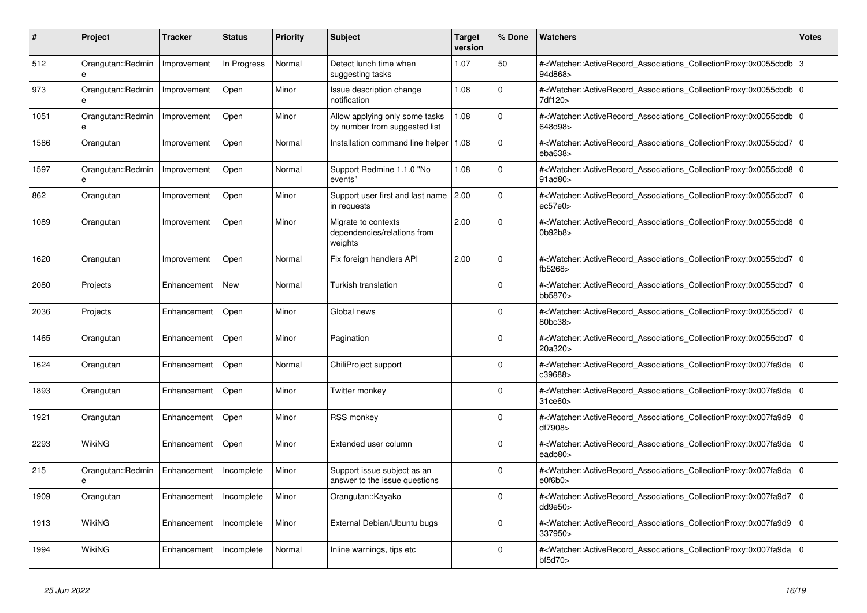| #    | <b>Project</b>                    | <b>Tracker</b> | <b>Status</b> | <b>Priority</b> | <b>Subject</b>                                                  | <b>Target</b><br>version | % Done       | <b>Watchers</b>                                                                                                                                          | <b>Votes</b> |
|------|-----------------------------------|----------------|---------------|-----------------|-----------------------------------------------------------------|--------------------------|--------------|----------------------------------------------------------------------------------------------------------------------------------------------------------|--------------|
| 512  | Orangutan::Redmin<br>e            | Improvement    | In Progress   | Normal          | Detect lunch time when<br>suggesting tasks                      | 1.07                     | 50           | # <watcher::activerecord_associations_collectionproxy:0x0055cbdb 3<br="">94d868&gt;</watcher::activerecord_associations_collectionproxy:0x0055cbdb>      |              |
| 973  | Orangutan::Redmin<br>e            | Improvement    | Open          | Minor           | <b>Issue description change</b><br>notification                 | 1.08                     | $\mathbf{0}$ | # <watcher::activerecord_associations_collectionproxy:0x0055cbdb 0<br="">7df120&gt;</watcher::activerecord_associations_collectionproxy:0x0055cbdb>      |              |
| 1051 | Orangutan::Redmin<br>$\mathbf{a}$ | Improvement    | Open          | Minor           | Allow applying only some tasks<br>by number from suggested list | 1.08                     | $\mathbf 0$  | # <watcher::activerecord_associations_collectionproxy:0x0055cbdb 0<br=""  ="">648d98&gt;</watcher::activerecord_associations_collectionproxy:0x0055cbdb> |              |
| 1586 | Orangutan                         | Improvement    | Open          | Normal          | Installation command line helper                                | 1.08                     | $\Omega$     | # <watcher::activerecord_associations_collectionproxy:0x0055cbd7 0<br="">eba638</watcher::activerecord_associations_collectionproxy:0x0055cbd7>          |              |
| 1597 | Orangutan::Redmin<br>e            | Improvement    | Open          | Normal          | Support Redmine 1.1.0 "No<br>events"                            | 1.08                     | $\mathbf 0$  | # <watcher::activerecord_associations_collectionproxy:0x0055cbd8 0<br=""  ="">91ad80&gt;</watcher::activerecord_associations_collectionproxy:0x0055cbd8> |              |
| 862  | Orangutan                         | Improvement    | Open          | Minor           | Support user first and last name 2.00<br>in requests            |                          | $\Omega$     | # <watcher::activerecord 0<br="" associations="" collectionproxy:0x0055cbd7="">ec57e0</watcher::activerecord>                                            |              |
| 1089 | Orangutan                         | Improvement    | Open          | Minor           | Migrate to contexts<br>dependencies/relations from<br>weights   | 2.00                     | $\Omega$     | # <watcher::activerecord 0<br="" associations="" collectionproxy:0x0055cbd8="">0b92b8&gt;</watcher::activerecord>                                        |              |
| 1620 | Orangutan                         | Improvement    | Open          | Normal          | Fix foreign handlers API                                        | 2.00                     | $\Omega$     | # <watcher::activerecord_associations_collectionproxy:0x0055cbd7 0<br=""  ="">fb5268&gt;</watcher::activerecord_associations_collectionproxy:0x0055cbd7> |              |
| 2080 | Projects                          | Enhancement    | New           | Normal          | Turkish translation                                             |                          | $\Omega$     | # <watcher::activerecord_associations_collectionproxy:0x0055cbd7 0<br=""  ="">bb5870&gt;</watcher::activerecord_associations_collectionproxy:0x0055cbd7> |              |
| 2036 | Projects                          | Enhancement    | Open          | Minor           | Global news                                                     |                          | $\Omega$     | # <watcher::activerecord_associations_collectionproxy:0x0055cbd7 0<br=""  ="">80bc38&gt;</watcher::activerecord_associations_collectionproxy:0x0055cbd7> |              |
| 1465 | Orangutan                         | Enhancement    | Open          | Minor           | Pagination                                                      |                          | $\Omega$     | # <watcher::activerecord 0<br="" associations="" collectionproxy:0x0055cbd7="">20a320&gt;</watcher::activerecord>                                        |              |
| 1624 | Orangutan                         | Enhancement    | Open          | Normal          | ChiliProject support                                            |                          | $\Omega$     | # <watcher::activerecord 0<br="" associations="" collectionproxy:0x007fa9da=""  ="">c39688&gt;</watcher::activerecord>                                   |              |
| 1893 | Orangutan                         | Enhancement    | Open          | Minor           | Twitter monkey                                                  |                          | $\Omega$     | # <watcher::activerecord_associations_collectionproxy:0x007fa9da<br>31ce60&gt;</watcher::activerecord_associations_collectionproxy:0x007fa9da<br>        | l 0          |
| 1921 | Orangutan                         | Enhancement    | Open          | Minor           | <b>RSS monkey</b>                                               |                          | $\Omega$     | # <watcher::activerecord_associations_collectionproxy:0x007fa9d9 0<br="">df7908&gt;</watcher::activerecord_associations_collectionproxy:0x007fa9d9>      |              |
| 2293 | <b>WikiNG</b>                     | Enhancement    | Open          | Minor           | Extended user column                                            |                          | $\Omega$     | # <watcher::activerecord associations="" collectionproxy:0x007fa9da<br="">eadb80&gt;</watcher::activerecord>                                             | l 0          |
| 215  | Orangutan::Redmin<br>е            | Enhancement    | Incomplete    | Minor           | Support issue subject as an<br>answer to the issue questions    |                          | $\mathbf 0$  | # <watcher::activerecord_associations_collectionproxy:0x007fa9da<br>e0f6b0</watcher::activerecord_associations_collectionproxy:0x007fa9da<br>            | 0            |
| 1909 | Orangutan                         | Enhancement    | Incomplete    | Minor           | Orangutan::Kayako                                               |                          | $\Omega$     | # <watcher::activerecord_associations_collectionproxy:0x007fa9d7 0<br=""  ="">dd9e50&gt;</watcher::activerecord_associations_collectionproxy:0x007fa9d7> |              |
| 1913 | <b>WikiNG</b>                     | Enhancement    | Incomplete    | Minor           | External Debian/Ubuntu bugs                                     |                          | $\Omega$     | # <watcher::activerecord associations="" collectionproxy:0x007fa9d9<br="">337950&gt;</watcher::activerecord>                                             | $\Omega$     |
| 1994 | WikiNG                            | Enhancement    | Incomplete    | Normal          | Inline warnings, tips etc                                       |                          | $\Omega$     | # <watcher::activerecord_associations_collectionproxy:0x007fa9da 0<br=""  ="">bf5d70&gt;</watcher::activerecord_associations_collectionproxy:0x007fa9da> |              |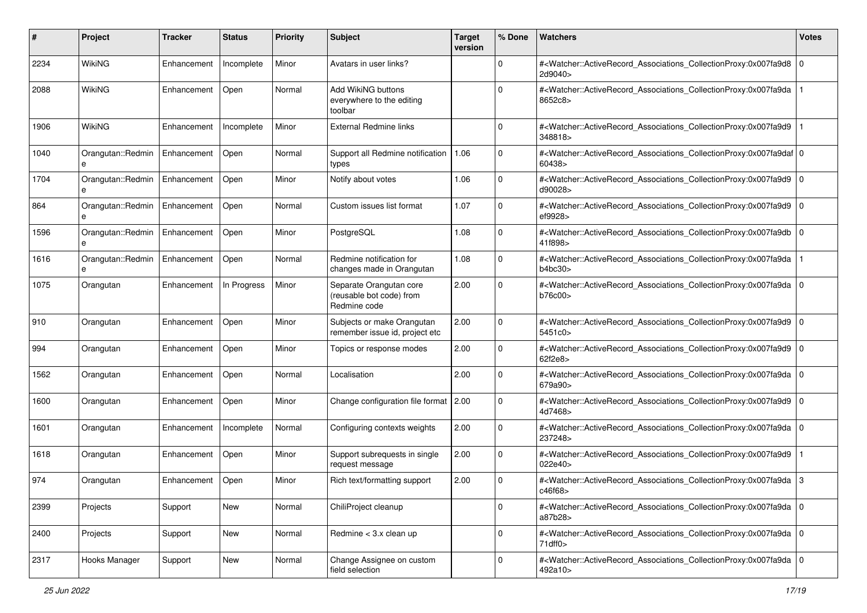| #    | Project                | <b>Tracker</b> | <b>Status</b> | <b>Priority</b> | <b>Subject</b>                                                      | <b>Target</b><br>version | % Done      | Watchers                                                                                                                                                  | <b>Votes</b> |
|------|------------------------|----------------|---------------|-----------------|---------------------------------------------------------------------|--------------------------|-------------|-----------------------------------------------------------------------------------------------------------------------------------------------------------|--------------|
| 2234 | WikiNG                 | Enhancement    | Incomplete    | Minor           | Avatars in user links?                                              |                          | 0           | # <watcher::activerecord associations="" collectionproxy:0x007fa9d8<br="">2d9040&gt;</watcher::activerecord>                                              | $\mathbf 0$  |
| 2088 | <b>WikiNG</b>          | Enhancement    | Open          | Normal          | Add WikiNG buttons<br>everywhere to the editing<br>toolbar          |                          | U           | # <watcher::activerecord_associations_collectionproxy:0x007fa9da<br>8652c8&gt;</watcher::activerecord_associations_collectionproxy:0x007fa9da<br>         |              |
| 1906 | WikiNG                 | Enhancement    | Incomplete    | Minor           | <b>External Redmine links</b>                                       |                          | $\Omega$    | # <watcher::activerecord_associations_collectionproxy:0x007fa9d9<br>348818&gt;</watcher::activerecord_associations_collectionproxy:0x007fa9d9<br>         |              |
| 1040 | Orangutan::Redmin<br>e | Enhancement    | Open          | Normal          | Support all Redmine notification<br>types                           | 1.06                     | $\Omega$    | # <watcher::activerecord_associations_collectionproxy:0x007fa9daf 0<br=""  ="">60438&gt;</watcher::activerecord_associations_collectionproxy:0x007fa9daf> |              |
| 1704 | Orangutan::Redmin<br>e | Enhancement    | Open          | Minor           | Notify about votes                                                  | 1.06                     | $\Omega$    | # <watcher::activerecord_associations_collectionproxy:0x007fa9d9<br>d90028&gt;</watcher::activerecord_associations_collectionproxy:0x007fa9d9<br>         | 10           |
| 864  | Orangutan::Redmin<br>e | Enhancement    | Open          | Normal          | Custom issues list format                                           | 1.07                     | $\mathbf 0$ | # <watcher::activerecord_associations_collectionproxy:0x007fa9d9 0<br=""  ="">ef9928&gt;</watcher::activerecord_associations_collectionproxy:0x007fa9d9>  |              |
| 1596 | Orangutan::Redmin      | Enhancement    | Open          | Minor           | PostgreSQL                                                          | 1.08                     | $\Omega$    | # <watcher::activerecord_associations_collectionproxy:0x007fa9db<br>41f898&gt;</watcher::activerecord_associations_collectionproxy:0x007fa9db<br>         | $\mathbf 0$  |
| 1616 | Orangutan::Redmin      | Enhancement    | Open          | Normal          | Redmine notification for<br>changes made in Orangutan               | 1.08                     | $\mathbf 0$ | # <watcher::activerecord_associations_collectionproxy:0x007fa9da<br>b4bc30&gt;</watcher::activerecord_associations_collectionproxy:0x007fa9da<br>         |              |
| 1075 | Orangutan              | Enhancement    | In Progress   | Minor           | Separate Orangutan core<br>(reusable bot code) from<br>Redmine code | 2.00                     | $\Omega$    | # <watcher::activerecord_associations_collectionproxy:0x007fa9da<br>b76c00&gt;</watcher::activerecord_associations_collectionproxy:0x007fa9da<br>         | $\Omega$     |
| 910  | Orangutan              | Enhancement    | Open          | Minor           | Subjects or make Orangutan<br>remember issue id, project etc        | 2.00                     | $\mathbf 0$ | # <watcher::activerecord_associations_collectionproxy:0x007fa9d9<br>5451c0&gt;</watcher::activerecord_associations_collectionproxy:0x007fa9d9<br>         | $\mathbf 0$  |
| 994  | Orangutan              | Enhancement    | Open          | Minor           | Topics or response modes                                            | 2.00                     | $\mathbf 0$ | # <watcher::activerecord_associations_collectionproxy:0x007fa9d9 0<br=""  ="">62f2e8&gt;</watcher::activerecord_associations_collectionproxy:0x007fa9d9>  |              |
| 1562 | Orangutan              | Enhancement    | Open          | Normal          | Localisation                                                        | 2.00                     | $\Omega$    | # <watcher::activerecord_associations_collectionproxy:0x007fa9da<br>679a90&gt;</watcher::activerecord_associations_collectionproxy:0x007fa9da<br>         | $\mathbf 0$  |
| 1600 | Orangutan              | Enhancement    | Open          | Minor           | Change configuration file format 2.00                               |                          | $\Omega$    | # <watcher::activerecord_associations_collectionproxy:0x007fa9d9<br>4d7468&gt;</watcher::activerecord_associations_collectionproxy:0x007fa9d9<br>         | l O          |
| 1601 | Orangutan              | Enhancement    | Incomplete    | Normal          | Configuring contexts weights                                        | 2.00                     | $\mathbf 0$ | # <watcher::activerecord_associations_collectionproxy:0x007fa9da  <br="">237248&gt;</watcher::activerecord_associations_collectionproxy:0x007fa9da>       | l O          |
| 1618 | Orangutan              | Enhancement    | Open          | Minor           | Support subrequests in single<br>request message                    | 2.00                     | $\mathbf 0$ | # <watcher::activerecord_associations_collectionproxy:0x007fa9d9<br>022e40&gt;</watcher::activerecord_associations_collectionproxy:0x007fa9d9<br>         |              |
| 974  | Orangutan              | Enhancement    | Open          | Minor           | Rich text/formatting support                                        | 2.00                     | $\Omega$    | # <watcher::activerecord_associations_collectionproxy:0x007fa9da<br>c46f68&gt;</watcher::activerecord_associations_collectionproxy:0x007fa9da<br>         | 3            |
| 2399 | Projects               | Support        | <b>New</b>    | Normal          | ChiliProject cleanup                                                |                          | 0           | # <watcher::activerecord_associations_collectionproxy:0x007fa9da 0<br=""  ="">a87b28&gt;</watcher::activerecord_associations_collectionproxy:0x007fa9da>  |              |
| 2400 | Projects               | Support        | New           | Normal          | Redmine < 3.x clean up                                              |                          | $\mathbf 0$ | # <watcher::activerecord_associations_collectionproxy:0x007fa9da 0<br="">71df10</watcher::activerecord_associations_collectionproxy:0x007fa9da>           |              |
| 2317 | Hooks Manager          | Support        | New           | Normal          | Change Assignee on custom<br>field selection                        |                          | 0           | # <watcher::activerecord_associations_collectionproxy:0x007fa9da 0<br=""  ="">492a10&gt;</watcher::activerecord_associations_collectionproxy:0x007fa9da>  |              |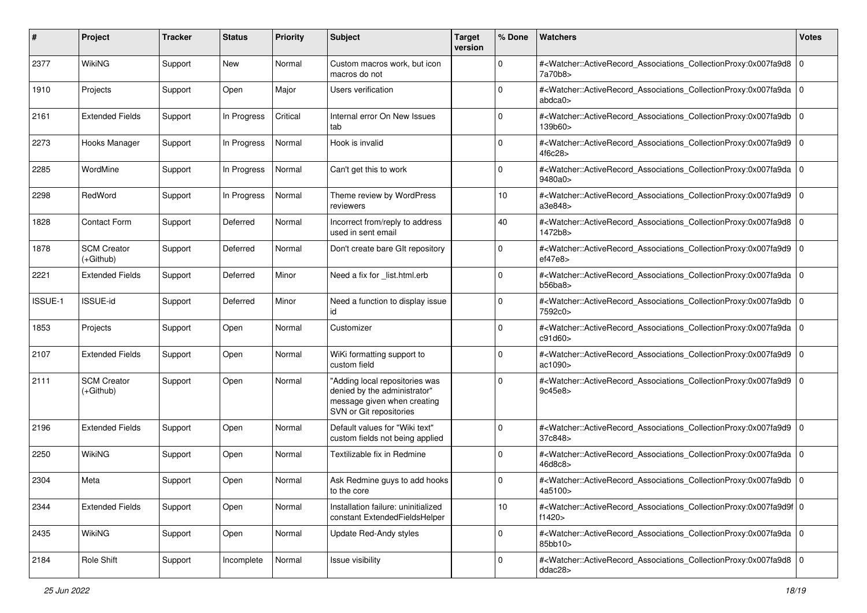| #       | Project                           | <b>Tracker</b> | <b>Status</b> | <b>Priority</b> | <b>Subject</b>                                                                                                           | <b>Target</b><br>version | % Done      | Watchers                                                                                                                                                 | <b>Votes</b> |
|---------|-----------------------------------|----------------|---------------|-----------------|--------------------------------------------------------------------------------------------------------------------------|--------------------------|-------------|----------------------------------------------------------------------------------------------------------------------------------------------------------|--------------|
| 2377    | <b>WikiNG</b>                     | Support        | New           | Normal          | Custom macros work, but icon<br>macros do not                                                                            |                          | 0           | # <watcher::activerecord 0<br="" associations="" collectionproxy:0x007fa9d8="">7a70b8&gt;</watcher::activerecord>                                        |              |
| 1910    | Projects                          | Support        | Open          | Major           | Users verification                                                                                                       |                          | $\Omega$    | # <watcher::activerecord_associations_collectionproxy:0x007fa9da 0<br=""  ="">abdca0&gt;</watcher::activerecord_associations_collectionproxy:0x007fa9da> |              |
| 2161    | <b>Extended Fields</b>            | Support        | In Progress   | Critical        | Internal error On New Issues<br>tab                                                                                      |                          | $\Omega$    | # <watcher::activerecord_associations_collectionproxy:0x007fa9db<br>139b60&gt;</watcher::activerecord_associations_collectionproxy:0x007fa9db<br>        | l O          |
| 2273    | Hooks Manager                     | Support        | In Progress   | Normal          | Hook is invalid                                                                                                          |                          | 0           | # <watcher::activerecord associations="" collectionproxy:0x007fa9d9<br="">4f6c28&gt;</watcher::activerecord>                                             | l 0          |
| 2285    | WordMine                          | Support        | In Progress   | Normal          | Can't get this to work                                                                                                   |                          | $\Omega$    | # <watcher::activerecord_associations_collectionproxy:0x007fa9da 0<br=""  ="">9480a0&gt;</watcher::activerecord_associations_collectionproxy:0x007fa9da> |              |
| 2298    | RedWord                           | Support        | In Progress   | Normal          | Theme review by WordPress<br>reviewers                                                                                   |                          | 10          | # <watcher::activerecord_associations_collectionproxy:0x007fa9d9<br>a3e848&gt;</watcher::activerecord_associations_collectionproxy:0x007fa9d9<br>        | l O          |
| 1828    | <b>Contact Form</b>               | Support        | Deferred      | Normal          | Incorrect from/reply to address<br>used in sent email                                                                    |                          | 40          | # <watcher::activerecord_associations_collectionproxy:0x007fa9d8<br>1472b8&gt;</watcher::activerecord_associations_collectionproxy:0x007fa9d8<br>        | l 0          |
| 1878    | <b>SCM Creator</b><br>$(+Github)$ | Support        | Deferred      | Normal          | Don't create bare GIt repository                                                                                         |                          | $\mathbf 0$ | # <watcher::activerecord_associations_collectionproxy:0x007fa9d9 0<br=""  ="">ef47e8</watcher::activerecord_associations_collectionproxy:0x007fa9d9>     |              |
| 2221    | <b>Extended Fields</b>            | Support        | Deferred      | Minor           | Need a fix for _list.html.erb                                                                                            |                          | $\mathbf 0$ | # <watcher::activerecord_associations_collectionproxy:0x007fa9da 0<br=""  ="">b56ba8</watcher::activerecord_associations_collectionproxy:0x007fa9da>     |              |
| ISSUE-1 | ISSUE-id                          | Support        | Deferred      | Minor           | Need a function to display issue<br>id                                                                                   |                          | $\Omega$    | # <watcher::activerecord_associations_collectionproxy:0x007fa9db<br>7592c0&gt;</watcher::activerecord_associations_collectionproxy:0x007fa9db<br>        | l O          |
| 1853    | Projects                          | Support        | Open          | Normal          | Customizer                                                                                                               |                          | $\Omega$    | # <watcher::activerecord_associations_collectionproxy:0x007fa9da<br>c91d60&gt;</watcher::activerecord_associations_collectionproxy:0x007fa9da<br>        | l O          |
| 2107    | <b>Extended Fields</b>            | Support        | Open          | Normal          | WiKi formatting support to<br>custom field                                                                               |                          | $\Omega$    | # <watcher::activerecord_associations_collectionproxy:0x007fa9d9 0<br=""  ="">ac1090&gt;</watcher::activerecord_associations_collectionproxy:0x007fa9d9> |              |
| 2111    | <b>SCM Creator</b><br>(+Github)   | Support        | Open          | Normal          | "Adding local repositories was<br>denied by the administrator"<br>message given when creating<br>SVN or Git repositories |                          | $\Omega$    | # <watcher::activerecord_associations_collectionproxy:0x007fa9d9<br>9c45e8&gt;</watcher::activerecord_associations_collectionproxy:0x007fa9d9<br>        | l O          |
| 2196    | <b>Extended Fields</b>            | Support        | Open          | Normal          | Default values for "Wiki text"<br>custom fields not being applied                                                        |                          | $\mathbf 0$ | # <watcher::activerecord_associations_collectionproxy:0x007fa9d9 0<br=""  ="">37c848&gt;</watcher::activerecord_associations_collectionproxy:0x007fa9d9> |              |
| 2250    | <b>WikiNG</b>                     | Support        | Open          | Normal          | Textilizable fix in Redmine                                                                                              |                          | $\Omega$    | # <watcher::activerecord_associations_collectionproxy:0x007fa9da<br>46d8c8&gt;</watcher::activerecord_associations_collectionproxy:0x007fa9da<br>        | l O          |
| 2304    | Meta                              | Support        | Open          | Normal          | Ask Redmine guys to add hooks<br>to the core                                                                             |                          | $\Omega$    | # <watcher::activerecord_associations_collectionproxy:0x007fa9db 0<br="">4a5100&gt;</watcher::activerecord_associations_collectionproxy:0x007fa9db>      |              |
| 2344    | <b>Extended Fields</b>            | Support        | Open          | Normal          | Installation failure: uninitialized<br>constant ExtendedFieldsHelper                                                     |                          | 10          | # <watcher::activerecord 0<br="" associations="" collectionproxy:0x007fa9d9f="">f1420&gt;</watcher::activerecord>                                        |              |
| 2435    | WikiNG                            | Support        | Open          | Normal          | Update Red-Andy styles                                                                                                   |                          | $\mathbf 0$ | # <watcher::activerecord_associations_collectionproxy:0x007fa9da 0<br="">85bb10&gt;</watcher::activerecord_associations_collectionproxy:0x007fa9da>      |              |
| 2184    | Role Shift                        | Support        | Incomplete    | Normal          | Issue visibility                                                                                                         |                          | $\mathbf 0$ | # <watcher::activerecord_associations_collectionproxy:0x007fa9d8 0<br="">ddac28&gt;</watcher::activerecord_associations_collectionproxy:0x007fa9d8>      |              |